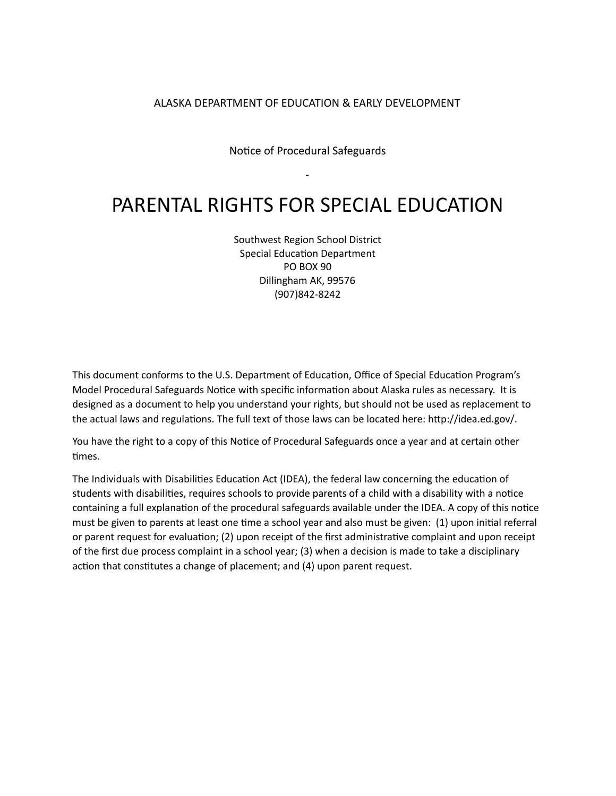#### ALASKA DEPARTMENT OF EDUCATION & EARLY DEVELOPMENT

#### Notice of Procedural Safeguards

-

# PARENTAL RIGHTS FOR SPECIAL EDUCATION

Southwest Region School District Special Education Department PO BOX 90 Dillingham AK, 99576 (907)842-8242

This document conforms to the U.S. Department of Education, Office of Special Education Program's Model Procedural Safeguards Notice with specific information about Alaska rules as necessary. It is designed as a document to help you understand your rights, but should not be used as replacement to the actual laws and regulations. The full text of those laws can be located here: http://idea.ed.gov/.

You have the right to a copy of this Notice of Procedural Safeguards once a year and at certain other times.

The Individuals with Disabilities Education Act (IDEA), the federal law concerning the education of students with disabilities, requires schools to provide parents of a child with a disability with a notice containing a full explanation of the procedural safeguards available under the IDEA. A copy of this notice must be given to parents at least one time a school year and also must be given: (1) upon initial referral or parent request for evaluation; (2) upon receipt of the first administrative complaint and upon receipt of the first due process complaint in a school year; (3) when a decision is made to take a disciplinary action that constitutes a change of placement; and (4) upon parent request.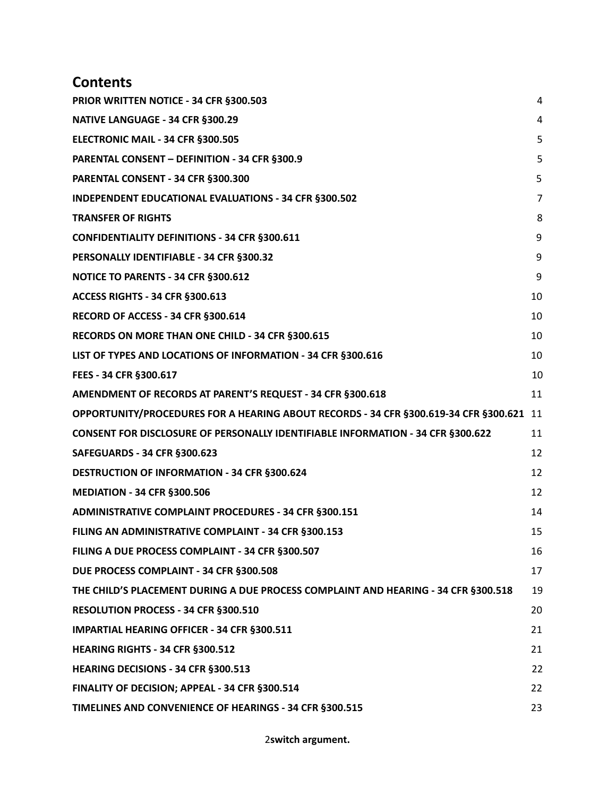# **Contents**

| PRIOR WRITTEN NOTICE - 34 CFR §300.503                                                 | 4              |
|----------------------------------------------------------------------------------------|----------------|
| NATIVE LANGUAGE - 34 CFR §300.29                                                       | 4              |
| ELECTRONIC MAIL - 34 CFR §300.505                                                      | 5              |
| <b>PARENTAL CONSENT - DEFINITION - 34 CFR §300.9</b>                                   | 5              |
| PARENTAL CONSENT - 34 CFR §300.300                                                     | 5              |
| <b>INDEPENDENT EDUCATIONAL EVALUATIONS - 34 CFR §300.502</b>                           | $\overline{7}$ |
| <b>TRANSFER OF RIGHTS</b>                                                              | 8              |
| <b>CONFIDENTIALITY DEFINITIONS - 34 CFR §300.611</b>                                   | 9              |
| PERSONALLY IDENTIFIABLE - 34 CFR §300.32                                               | 9              |
| NOTICE TO PARENTS - 34 CFR §300.612                                                    | 9              |
| <b>ACCESS RIGHTS - 34 CFR §300.613</b>                                                 | 10             |
| <b>RECORD OF ACCESS - 34 CFR §300.614</b>                                              | 10             |
| RECORDS ON MORE THAN ONE CHILD - 34 CFR §300.615                                       | 10             |
| LIST OF TYPES AND LOCATIONS OF INFORMATION - 34 CFR §300.616                           | 10             |
| FEES - 34 CFR §300.617                                                                 | 10             |
| AMENDMENT OF RECORDS AT PARENT'S REQUEST - 34 CFR §300.618                             | 11             |
| OPPORTUNITY/PROCEDURES FOR A HEARING ABOUT RECORDS - 34 CFR §300.619-34 CFR §300.621   | 11             |
| <b>CONSENT FOR DISCLOSURE OF PERSONALLY IDENTIFIABLE INFORMATION - 34 CFR §300.622</b> | 11             |
| <b>SAFEGUARDS - 34 CFR §300.623</b>                                                    | 12             |
| DESTRUCTION OF INFORMATION - 34 CFR §300.624                                           | 12             |
| <b>MEDIATION - 34 CFR §300.506</b>                                                     | 12             |
| <b>ADMINISTRATIVE COMPLAINT PROCEDURES - 34 CFR §300.151</b>                           | 14             |
| FILING AN ADMINISTRATIVE COMPLAINT - 34 CFR §300.153                                   | 15             |
| FILING A DUE PROCESS COMPLAINT - 34 CFR §300.507                                       | 16             |
| DUE PROCESS COMPLAINT - 34 CFR §300.508                                                | 17             |
| THE CHILD'S PLACEMENT DURING A DUE PROCESS COMPLAINT AND HEARING - 34 CFR §300.518     | 19             |
| RESOLUTION PROCESS - 34 CFR §300.510                                                   | 20             |
| <b>IMPARTIAL HEARING OFFICER - 34 CFR §300.511</b>                                     | 21             |
| <b>HEARING RIGHTS - 34 CFR §300.512</b>                                                | 21             |
| HEARING DECISIONS - 34 CFR §300.513                                                    | 22             |
| FINALITY OF DECISION; APPEAL - 34 CFR §300.514                                         | 22             |
| TIMELINES AND CONVENIENCE OF HEARINGS - 34 CFR §300.515                                | 23             |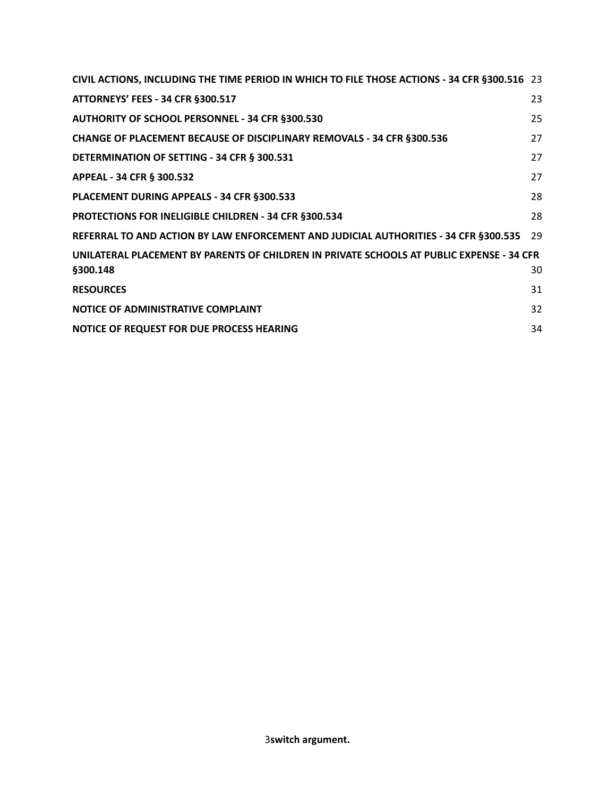| CIVIL ACTIONS, INCLUDING THE TIME PERIOD IN WHICH TO FILE THOSE ACTIONS - 34 CFR §300.516 23 |    |  |
|----------------------------------------------------------------------------------------------|----|--|
| <b>ATTORNEYS' FEES - 34 CFR §300.517</b>                                                     | 23 |  |
| <b>AUTHORITY OF SCHOOL PERSONNEL - 34 CFR §300.530</b>                                       | 25 |  |
| CHANGE OF PLACEMENT BECAUSE OF DISCIPLINARY REMOVALS - 34 CFR §300.536                       | 27 |  |
| DETERMINATION OF SETTING - 34 CFR § 300.531                                                  | 27 |  |
| APPEAL - 34 CFR § 300.532                                                                    | 27 |  |
| PLACEMENT DURING APPEALS - 34 CFR §300.533                                                   | 28 |  |
| <b>PROTECTIONS FOR INELIGIBLE CHILDREN - 34 CFR §300.534</b>                                 | 28 |  |
| REFERRAL TO AND ACTION BY LAW ENFORCEMENT AND JUDICIAL AUTHORITIES - 34 CFR §300.535         | 29 |  |
| UNILATERAL PLACEMENT BY PARENTS OF CHILDREN IN PRIVATE SCHOOLS AT PUBLIC EXPENSE - 34 CFR    |    |  |
| §300.148                                                                                     | 30 |  |
| <b>RESOURCES</b>                                                                             | 31 |  |
| NOTICE OF ADMINISTRATIVE COMPLAINT                                                           | 32 |  |
| <b>NOTICE OF REQUEST FOR DUE PROCESS HEARING</b>                                             | 34 |  |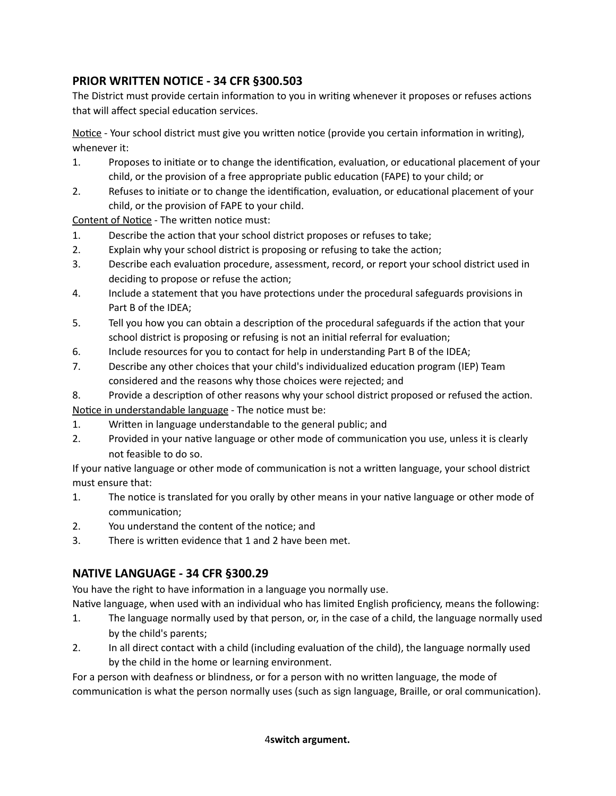# <span id="page-3-0"></span>**PRIOR WRITTEN NOTICE - 34 CFR §300.503**

The District must provide certain information to you in writing whenever it proposes or refuses actions that will affect special education services.

Notice - Your school district must give you written notice (provide you certain information in writing), whenever it:

- 1. Proposes to initiate or to change the identification, evaluation, or educational placement of your child, or the provision of a free appropriate public education (FAPE) to your child; or
- 2. Refuses to initiate or to change the identification, evaluation, or educational placement of your child, or the provision of FAPE to your child.

Content of Notice - The written notice must:

- 1. Describe the action that your school district proposes or refuses to take;
- 2. Explain why your school district is proposing or refusing to take the action;
- 3. Describe each evaluation procedure, assessment, record, or report your school district used in deciding to propose or refuse the action;
- 4. Include a statement that you have protections under the procedural safeguards provisions in Part B of the IDEA;
- 5. Tell you how you can obtain a description of the procedural safeguards if the action that your school district is proposing or refusing is not an initial referral for evaluation;
- 6. Include resources for you to contact for help in understanding Part B of the IDEA;
- 7. Describe any other choices that your child's individualized education program (IEP) Team considered and the reasons why those choices were rejected; and
- 8. Provide a description of other reasons why your school district proposed or refused the action.

### Notice in understandable language - The notice must be:

- 1. Written in language understandable to the general public; and
- 2. Provided in your native language or other mode of communication you use, unless it is clearly not feasible to do so.

If your native language or other mode of communication is not a written language, your school district must ensure that:

- 1. The notice is translated for you orally by other means in your native language or other mode of communication:
- 2. You understand the content of the notice; and
- 3. There is written evidence that 1 and 2 have been met.

# <span id="page-3-1"></span>**NATIVE LANGUAGE - 34 CFR §300.29**

You have the right to have information in a language you normally use.

Native language, when used with an individual who has limited English proficiency, means the following:

- 1. The language normally used by that person, or, in the case of a child, the language normally used by the child's parents;
- 2. In all direct contact with a child (including evaluation of the child), the language normally used by the child in the home or learning environment.

For a person with deafness or blindness, or for a person with no written language, the mode of communication is what the person normally uses (such as sign language, Braille, or oral communication).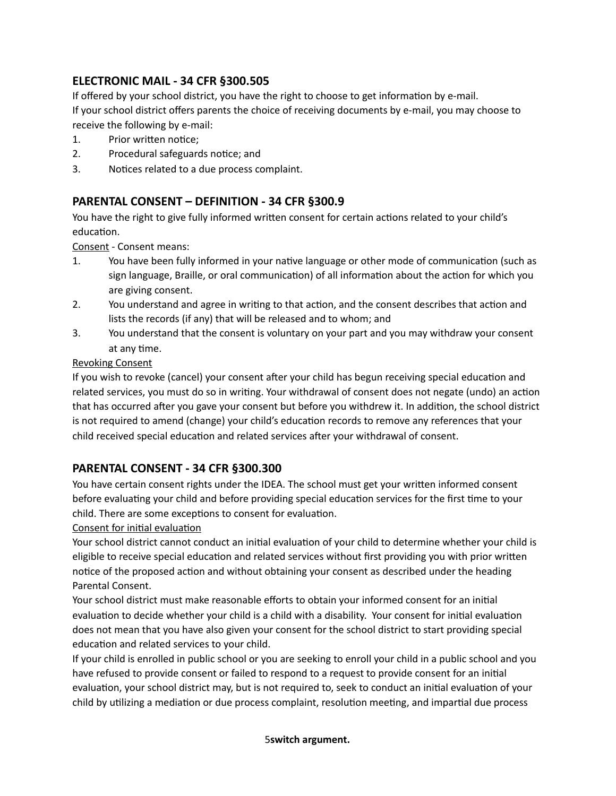# <span id="page-4-0"></span>**ELECTRONIC MAIL - 34 CFR §300.505**

If offered by your school district, you have the right to choose to get information by e-mail. If your school district offers parents the choice of receiving documents by e-mail, you may choose to receive the following by e-mail:

- 1. Prior written notice;
- 2. Procedural safeguards notice; and
- 3. Notices related to a due process complaint.

# <span id="page-4-1"></span>**PARENTAL CONSENT – DEFINITION - 34 CFR §300.9**

You have the right to give fully informed written consent for certain actions related to your child's education.

Consent - Consent means:

- 1. You have been fully informed in your native language or other mode of communication (such as sign language, Braille, or oral communication) of all information about the action for which you are giving consent.
- 2. You understand and agree in writing to that action, and the consent describes that action and lists the records (if any) that will be released and to whom; and
- 3. You understand that the consent is voluntary on your part and you may withdraw your consent at any time.

### Revoking Consent

If you wish to revoke (cancel) your consent after your child has begun receiving special education and related services, you must do so in writing. Your withdrawal of consent does not negate (undo) an action that has occurred after you gave your consent but before you withdrew it. In addition, the school district is not required to amend (change) your child's education records to remove any references that your child received special education and related services after your withdrawal of consent.

### <span id="page-4-2"></span>**PARENTAL CONSENT - 34 CFR §300.300**

You have certain consent rights under the IDEA. The school must get your written informed consent before evaluating your child and before providing special education services for the first time to your child. There are some exceptions to consent for evaluation.

Consent for initial evaluation

Your school district cannot conduct an initial evaluation of your child to determine whether your child is eligible to receive special education and related services without first providing you with prior written notice of the proposed action and without obtaining your consent as described under the heading Parental Consent.

Your school district must make reasonable efforts to obtain your informed consent for an initial evaluation to decide whether your child is a child with a disability. Your consent for initial evaluation does not mean that you have also given your consent for the school district to start providing special education and related services to your child.

If your child is enrolled in public school or you are seeking to enroll your child in a public school and you have refused to provide consent or failed to respond to a request to provide consent for an initial evaluation, your school district may, but is not required to, seek to conduct an initial evaluation of your child by utilizing a mediation or due process complaint, resolution meeting, and impartial due process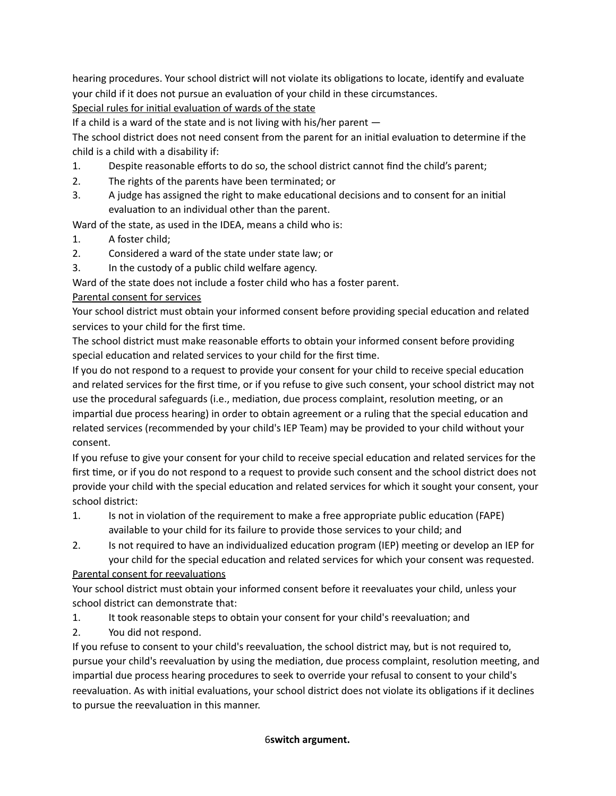hearing procedures. Your school district will not violate its obligations to locate, identify and evaluate your child if it does not pursue an evaluation of your child in these circumstances.

Special rules for initial evaluation of wards of the state

If a child is a ward of the state and is not living with his/her parent —

The school district does not need consent from the parent for an initial evaluation to determine if the child is a child with a disability if:

- 1. Despite reasonable efforts to do so, the school district cannot find the child's parent;
- 2. The rights of the parents have been terminated; or
- 3. A judge has assigned the right to make educational decisions and to consent for an initial evaluation to an individual other than the parent.

Ward of the state, as used in the IDEA, means a child who is:

- 1. A foster child;
- 2. Considered a ward of the state under state law; or
- 3. In the custody of a public child welfare agency.

Ward of the state does not include a foster child who has a foster parent.

### Parental consent for services

Your school district must obtain your informed consent before providing special education and related services to your child for the first time.

The school district must make reasonable efforts to obtain your informed consent before providing special education and related services to your child for the first time.

If you do not respond to a request to provide your consent for your child to receive special education and related services for the first time, or if you refuse to give such consent, your school district may not use the procedural safeguards (i.e., mediation, due process complaint, resolution meeting, or an impartial due process hearing) in order to obtain agreement or a ruling that the special education and related services (recommended by your child's IEP Team) may be provided to your child without your consent.

If you refuse to give your consent for your child to receive special education and related services for the first me, or if you do not respond to a request to provide such consent and the school district does not provide your child with the special education and related services for which it sought your consent, your school district:

- 1. Is not in violation of the requirement to make a free appropriate public education (FAPE) available to your child for its failure to provide those services to your child; and
- 2. Is not required to have an individualized education program (IEP) meeting or develop an IEP for your child for the special education and related services for which your consent was requested.

### Parental consent for reevaluations

Your school district must obtain your informed consent before it reevaluates your child, unless your school district can demonstrate that:

1. It took reasonable steps to obtain your consent for your child's reevaluation; and

2. You did not respond.

If you refuse to consent to your child's reevaluation, the school district may, but is not required to, pursue your child's reevaluation by using the mediation, due process complaint, resolution meeting, and impartial due process hearing procedures to seek to override your refusal to consent to your child's reevaluation. As with initial evaluations, your school district does not violate its obligations if it declines to pursue the reevaluation in this manner.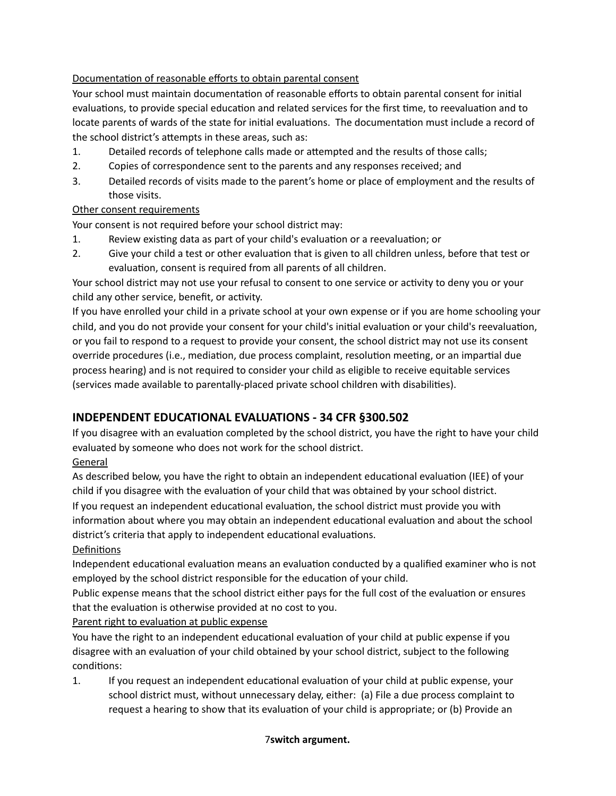### Documentation of reasonable efforts to obtain parental consent

Your school must maintain documentation of reasonable efforts to obtain parental consent for initial evaluations, to provide special education and related services for the first time, to reevaluation and to locate parents of wards of the state for initial evaluations. The documentation must include a record of the school district's attempts in these areas, such as:

- 1. Detailed records of telephone calls made or attempted and the results of those calls;
- 2. Copies of correspondence sent to the parents and any responses received; and
- 3. Detailed records of visits made to the parent's home or place of employment and the results of those visits.

### Other consent requirements

Your consent is not required before your school district may:

- 1. Review existing data as part of your child's evaluation or a reevaluation; or
- 2. Give your child a test or other evaluation that is given to all children unless, before that test or evaluation, consent is required from all parents of all children.

Your school district may not use your refusal to consent to one service or activity to deny you or your child any other service, benefit, or activity.

If you have enrolled your child in a private school at your own expense or if you are home schooling your child, and you do not provide your consent for your child's initial evaluation or your child's reevaluation, or you fail to respond to a request to provide your consent, the school district may not use its consent override procedures (i.e., mediation, due process complaint, resolution meeting, or an impartial due process hearing) and is not required to consider your child as eligible to receive equitable services (services made available to parentally-placed private school children with disabilies).

# <span id="page-6-0"></span>**INDEPENDENT EDUCATIONAL EVALUATIONS - 34 CFR §300.502**

If you disagree with an evaluation completed by the school district, you have the right to have your child evaluated by someone who does not work for the school district.

### General

As described below, you have the right to obtain an independent educational evaluation (IEE) of your child if you disagree with the evaluation of your child that was obtained by your school district.

If you request an independent educational evaluation, the school district must provide you with information about where you may obtain an independent educational evaluation and about the school district's criteria that apply to independent educational evaluations.

### Definitions

Independent educational evaluation means an evaluation conducted by a qualified examiner who is not employed by the school district responsible for the education of your child.

Public expense means that the school district either pays for the full cost of the evaluation or ensures that the evaluation is otherwise provided at no cost to you.

### Parent right to evaluation at public expense

You have the right to an independent educational evaluation of your child at public expense if you disagree with an evaluation of your child obtained by your school district, subject to the following conditions:

1. If you request an independent educational evaluation of your child at public expense, your school district must, without unnecessary delay, either: (a) File a due process complaint to request a hearing to show that its evaluation of your child is appropriate; or (b) Provide an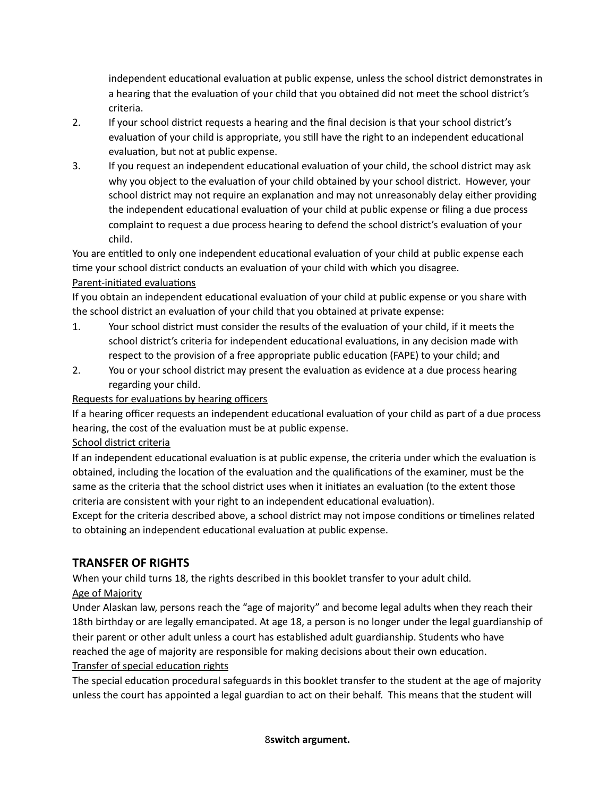independent educational evaluation at public expense, unless the school district demonstrates in a hearing that the evaluation of your child that you obtained did not meet the school district's criteria.

- 2. If your school district requests a hearing and the final decision is that your school district's evaluation of your child is appropriate, you still have the right to an independent educational evaluation, but not at public expense.
- 3. If you request an independent educational evaluation of your child, the school district may ask why you object to the evaluation of your child obtained by your school district. However, your school district may not require an explanation and may not unreasonably delay either providing the independent educational evaluation of your child at public expense or filing a due process complaint to request a due process hearing to defend the school district's evaluation of your child.

You are entitled to only one independent educational evaluation of your child at public expense each time your school district conducts an evaluation of your child with which you disagree.

### Parent-initiated evaluations

If you obtain an independent educational evaluation of your child at public expense or you share with the school district an evaluation of your child that you obtained at private expense:

- 1. Your school district must consider the results of the evaluation of your child, if it meets the school district's criteria for independent educational evaluations, in any decision made with respect to the provision of a free appropriate public education (FAPE) to your child; and
- 2. You or your school district may present the evaluation as evidence at a due process hearing regarding your child.

### Requests for evaluations by hearing officers

If a hearing officer requests an independent educational evaluation of your child as part of a due process hearing, the cost of the evaluation must be at public expense.

### School district criteria

If an independent educational evaluation is at public expense, the criteria under which the evaluation is obtained, including the location of the evaluation and the qualifications of the examiner, must be the same as the criteria that the school district uses when it initiates an evaluation (to the extent those criteria are consistent with your right to an independent educational evaluation).

Except for the criteria described above, a school district may not impose conditions or timelines related to obtaining an independent educational evaluation at public expense.

# <span id="page-7-0"></span>**TRANSFER OF RIGHTS**

When your child turns 18, the rights described in this booklet transfer to your adult child.

# Age of Majority

Under Alaskan law, persons reach the "age of majority" and become legal adults when they reach their 18th birthday or are legally emancipated. At age 18, a person is no longer under the legal guardianship of their parent or other adult unless a court has established adult guardianship. Students who have reached the age of majority are responsible for making decisions about their own education. Transfer of special education rights

The special education procedural safeguards in this booklet transfer to the student at the age of majority unless the court has appointed a legal guardian to act on their behalf. This means that the student will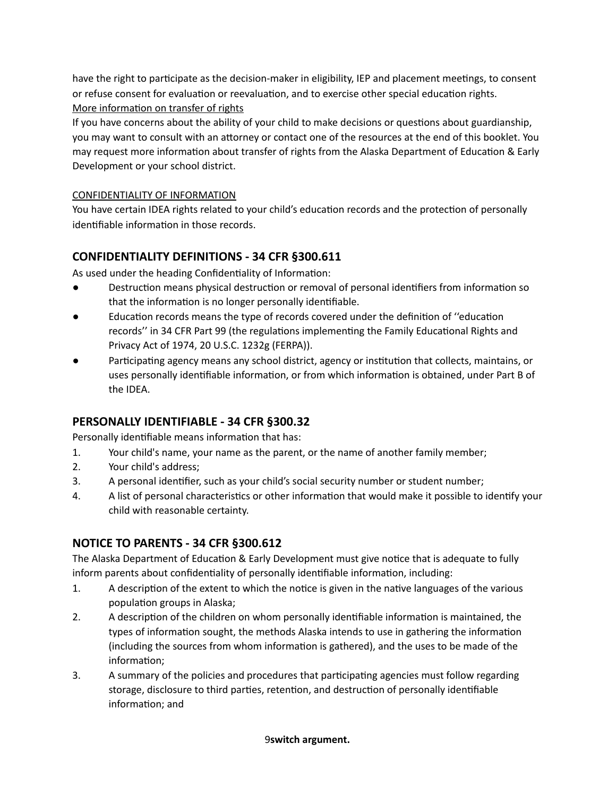have the right to participate as the decision-maker in eligibility, IEP and placement meetings, to consent or refuse consent for evaluation or reevaluation, and to exercise other special education rights. More information on transfer of rights

If you have concerns about the ability of your child to make decisions or questions about guardianship, you may want to consult with an attorney or contact one of the resources at the end of this booklet. You may request more information about transfer of rights from the Alaska Department of Education & Early Development or your school district.

### CONFIDENTIALITY OF INFORMATION

You have certain IDEA rights related to your child's education records and the protection of personally identifiable information in those records.

# <span id="page-8-0"></span>**CONFIDENTIALITY DEFINITIONS - 34 CFR §300.611**

As used under the heading Confidentiality of Information:

- Destruction means physical destruction or removal of personal identifiers from information so that the information is no longer personally identifiable.
- Education records means the type of records covered under the definition of "education records" in 34 CFR Part 99 (the regulations implementing the Family Educational Rights and Privacy Act of 1974, 20 U.S.C. 1232g (FERPA)).
- Participating agency means any school district, agency or institution that collects, maintains, or uses personally identifiable information, or from which information is obtained, under Part B of the IDEA.

# <span id="page-8-1"></span>**PERSONALLY IDENTIFIABLE - 34 CFR §300.32**

Personally identifiable means information that has:

- 1. Your child's name, your name as the parent, or the name of another family member;
- 2. Your child's address;
- 3. A personal idenfier, such as your child's social security number or student number;
- 4. A list of personal characteristics or other information that would make it possible to identify your child with reasonable certainty.

# <span id="page-8-2"></span>**NOTICE TO PARENTS - 34 CFR §300.612**

The Alaska Department of Education & Early Development must give notice that is adequate to fully inform parents about confidentiality of personally identifiable information, including:

- 1. A description of the extent to which the notice is given in the native languages of the various population groups in Alaska;
- 2. A description of the children on whom personally identifiable information is maintained, the types of information sought, the methods Alaska intends to use in gathering the information (including the sources from whom information is gathered), and the uses to be made of the information:
- 3. A summary of the policies and procedures that participating agencies must follow regarding storage, disclosure to third parties, retention, and destruction of personally identifiable information; and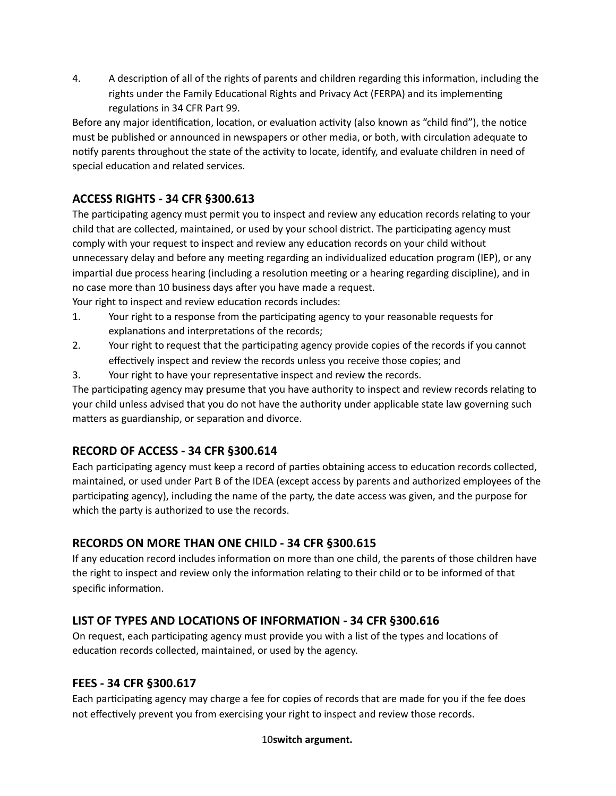4. A description of all of the rights of parents and children regarding this information, including the rights under the Family Educational Rights and Privacy Act (FERPA) and its implementing regulations in 34 CFR Part 99.

Before any major identification, location, or evaluation activity (also known as "child find"), the notice must be published or announced in newspapers or other media, or both, with circulation adequate to notify parents throughout the state of the activity to locate, identify, and evaluate children in need of special education and related services.

# <span id="page-9-0"></span>**ACCESS RIGHTS - 34 CFR §300.613**

The participating agency must permit you to inspect and review any education records relating to your child that are collected, maintained, or used by your school district. The participating agency must comply with your request to inspect and review any education records on your child without unnecessary delay and before any meeting regarding an individualized education program (IEP), or any impartial due process hearing (including a resolution meeting or a hearing regarding discipline), and in no case more than 10 business days after you have made a request.

Your right to inspect and review education records includes:

- 1. Your right to a response from the participating agency to your reasonable requests for explanations and interpretations of the records;
- 2. Your right to request that the participating agency provide copies of the records if you cannot effectively inspect and review the records unless you receive those copies; and
- 3. Your right to have your representative inspect and review the records.

The participating agency may presume that you have authority to inspect and review records relating to your child unless advised that you do not have the authority under applicable state law governing such matters as guardianship, or separation and divorce.

# <span id="page-9-1"></span>**RECORD OF ACCESS - 34 CFR §300.614**

Each participating agency must keep a record of parties obtaining access to education records collected, maintained, or used under Part B of the IDEA (except access by parents and authorized employees of the participating agency), including the name of the party, the date access was given, and the purpose for which the party is authorized to use the records.

# <span id="page-9-2"></span>**RECORDS ON MORE THAN ONE CHILD - 34 CFR §300.615**

If any education record includes information on more than one child, the parents of those children have the right to inspect and review only the information relating to their child or to be informed of that specific information.

# <span id="page-9-3"></span>**LIST OF TYPES AND LOCATIONS OF INFORMATION - 34 CFR §300.616**

On request, each participating agency must provide you with a list of the types and locations of education records collected, maintained, or used by the agency.

# <span id="page-9-4"></span>**FEES - 34 CFR §300.617**

Each participating agency may charge a fee for copies of records that are made for you if the fee does not effectively prevent you from exercising your right to inspect and review those records.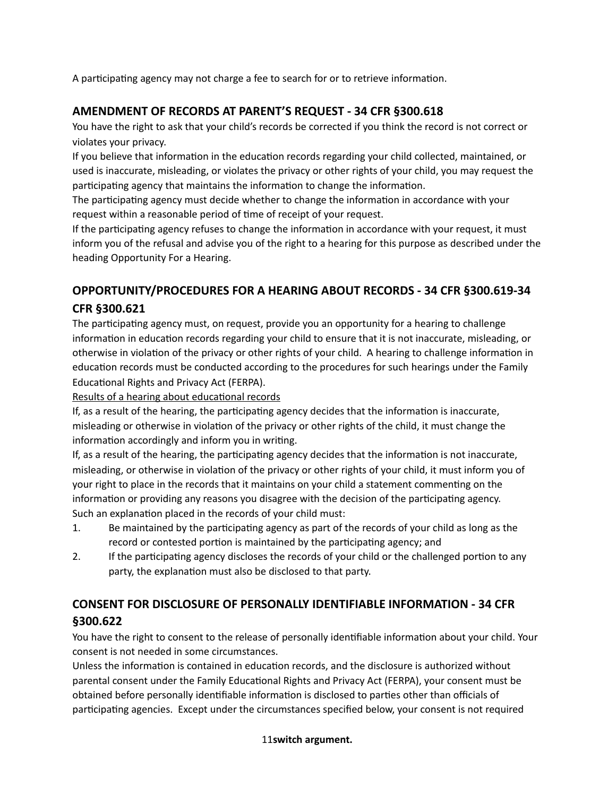A participating agency may not charge a fee to search for or to retrieve information.

# <span id="page-10-0"></span>**AMENDMENT OF RECORDS AT PARENT'S REQUEST - 34 CFR §300.618**

You have the right to ask that your child's records be corrected if you think the record is not correct or violates your privacy.

If you believe that information in the education records regarding your child collected, maintained, or used is inaccurate, misleading, or violates the privacy or other rights of your child, you may request the participating agency that maintains the information to change the information.

The participating agency must decide whether to change the information in accordance with your request within a reasonable period of time of receipt of your request.

If the participating agency refuses to change the information in accordance with your request, it must inform you of the refusal and advise you of the right to a hearing for this purpose as described under the heading Opportunity For a Hearing.

### <span id="page-10-1"></span>**OPPORTUNITY/PROCEDURES FOR A HEARING ABOUT RECORDS - 34 CFR §300.619-34**

### **CFR §300.621**

The participating agency must, on request, provide you an opportunity for a hearing to challenge information in education records regarding your child to ensure that it is not inaccurate, misleading, or otherwise in violation of the privacy or other rights of your child. A hearing to challenge information in education records must be conducted according to the procedures for such hearings under the Family Educational Rights and Privacy Act (FERPA).

Results of a hearing about educational records

If, as a result of the hearing, the participating agency decides that the information is inaccurate, misleading or otherwise in violation of the privacy or other rights of the child, it must change the information accordingly and inform you in writing.

If, as a result of the hearing, the participating agency decides that the information is not inaccurate, misleading, or otherwise in violation of the privacy or other rights of your child, it must inform you of your right to place in the records that it maintains on your child a statement commenting on the information or providing any reasons you disagree with the decision of the participating agency. Such an explanation placed in the records of your child must:

- 1. Be maintained by the participating agency as part of the records of your child as long as the record or contested portion is maintained by the participating agency; and
- 2. If the participating agency discloses the records of your child or the challenged portion to any party, the explanation must also be disclosed to that party.

# <span id="page-10-2"></span>**CONSENT FOR DISCLOSURE OF PERSONALLY IDENTIFIABLE INFORMATION - 34 CFR §300.622**

You have the right to consent to the release of personally identifiable information about your child. Your consent is not needed in some circumstances.

Unless the information is contained in education records, and the disclosure is authorized without parental consent under the Family Educational Rights and Privacy Act (FERPA), your consent must be obtained before personally identifiable information is disclosed to parties other than officials of participating agencies. Except under the circumstances specified below, your consent is not required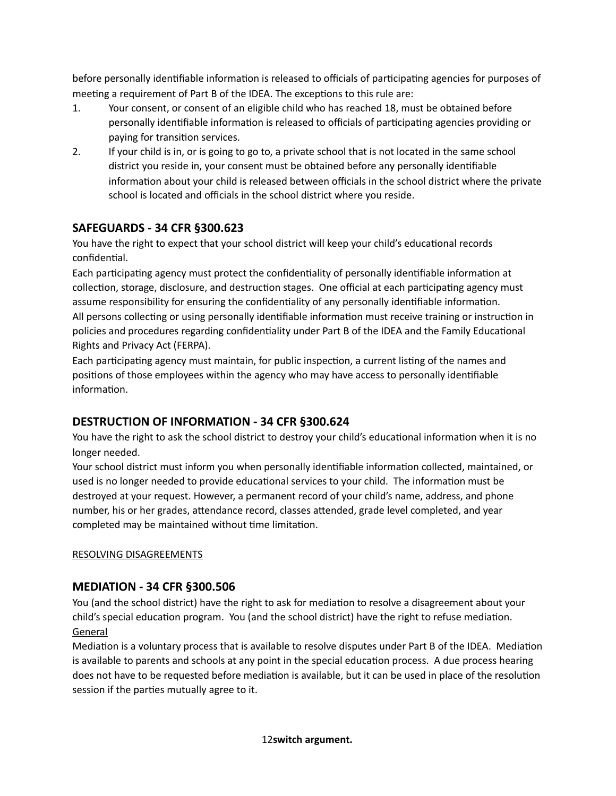before personally identifiable information is released to officials of participating agencies for purposes of meeting a requirement of Part B of the IDEA. The exceptions to this rule are:

- 1. Your consent, or consent of an eligible child who has reached 18, must be obtained before personally identifiable information is released to officials of participating agencies providing or paying for transition services.
- 2. If your child is in, or is going to go to, a private school that is not located in the same school district you reside in, your consent must be obtained before any personally idenfiable information about your child is released between officials in the school district where the private school is located and officials in the school district where you reside.

# <span id="page-11-0"></span>**SAFEGUARDS - 34 CFR §300.623**

You have the right to expect that your school district will keep your child's educational records confidential.

Each participating agency must protect the confidentiality of personally identifiable information at collection, storage, disclosure, and destruction stages. One official at each participating agency must assume responsibility for ensuring the confidentiality of any personally identifiable information. All persons collecting or using personally identifiable information must receive training or instruction in policies and procedures regarding confidentiality under Part B of the IDEA and the Family Educational Rights and Privacy Act (FERPA).

Each participating agency must maintain, for public inspection, a current listing of the names and positions of those employees within the agency who may have access to personally identifiable information.

# <span id="page-11-1"></span>**DESTRUCTION OF INFORMATION - 34 CFR §300.624**

You have the right to ask the school district to destroy your child's educational information when it is no longer needed.

Your school district must inform you when personally identifiable information collected, maintained, or used is no longer needed to provide educational services to your child. The information must be destroyed at your request. However, a permanent record of your child's name, address, and phone number, his or her grades, attendance record, classes attended, grade level completed, and year completed may be maintained without time limitation.

### RESOLVING DISAGREEMENTS

# <span id="page-11-2"></span>**MEDIATION - 34 CFR §300.506**

You (and the school district) have the right to ask for mediation to resolve a disagreement about your child's special education program. You (and the school district) have the right to refuse mediation. General

Mediation is a voluntary process that is available to resolve disputes under Part B of the IDEA. Mediation is available to parents and schools at any point in the special education process. A due process hearing does not have to be requested before mediation is available, but it can be used in place of the resolution session if the parties mutually agree to it.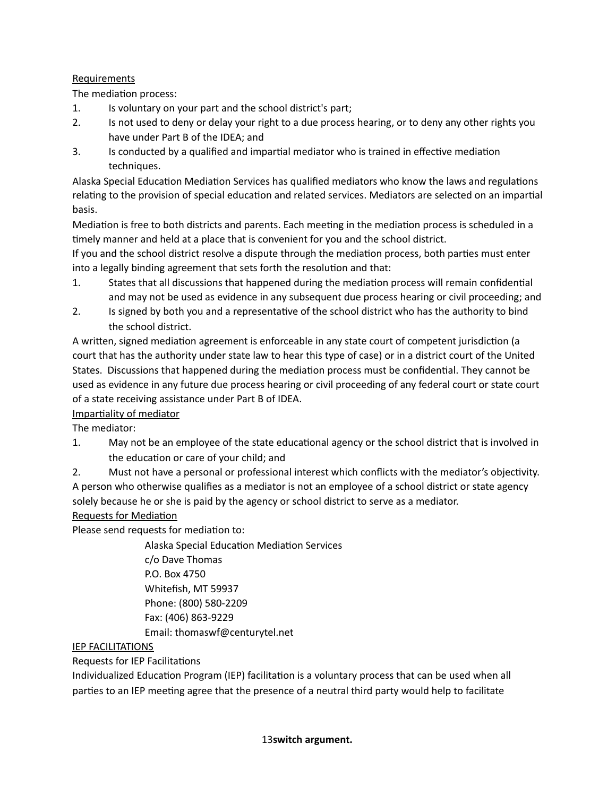#### Requirements

The mediation process:

- 1. Is voluntary on your part and the school district's part;
- 2. Is not used to deny or delay your right to a due process hearing, or to deny any other rights you have under Part B of the IDEA; and
- 3. Is conducted by a qualified and impartial mediator who is trained in effective mediation techniques.

Alaska Special Education Mediation Services has qualified mediators who know the laws and regulations relating to the provision of special education and related services. Mediators are selected on an impartial basis.

Mediation is free to both districts and parents. Each meeting in the mediation process is scheduled in a mely manner and held at a place that is convenient for you and the school district.

If you and the school district resolve a dispute through the mediation process, both parties must enter into a legally binding agreement that sets forth the resolution and that:

- 1. States that all discussions that happened during the mediation process will remain confidential and may not be used as evidence in any subsequent due process hearing or civil proceeding; and
- 2. Is signed by both you and a representative of the school district who has the authority to bind the school district.

A written, signed mediation agreement is enforceable in any state court of competent jurisdiction (a court that has the authority under state law to hear this type of case) or in a district court of the United States. Discussions that happened during the mediation process must be confidential. They cannot be used as evidence in any future due process hearing or civil proceeding of any federal court or state court of a state receiving assistance under Part B of IDEA.

### Impartiality of mediator

The mediator:

1. May not be an employee of the state educational agency or the school district that is involved in the education or care of your child; and

2. Must not have a personal or professional interest which conflicts with the mediator's objectivity. A person who otherwise qualifies as a mediator is not an employee of a school district or state agency solely because he or she is paid by the agency or school district to serve as a mediator.

### Requests for Mediation

Please send requests for mediation to:

Alaska Special Education Mediation Services c/o Dave Thomas P.O. Box 4750 Whitefish, MT 59937 Phone: (800) 580-2209 Fax: (406) 863-9229 Email: thomaswf@centurytel.net

### IEP FACILITATIONS

Requests for IEP Facilitations

Individualized Education Program (IEP) facilitation is a voluntary process that can be used when all parties to an IEP meeting agree that the presence of a neutral third party would help to facilitate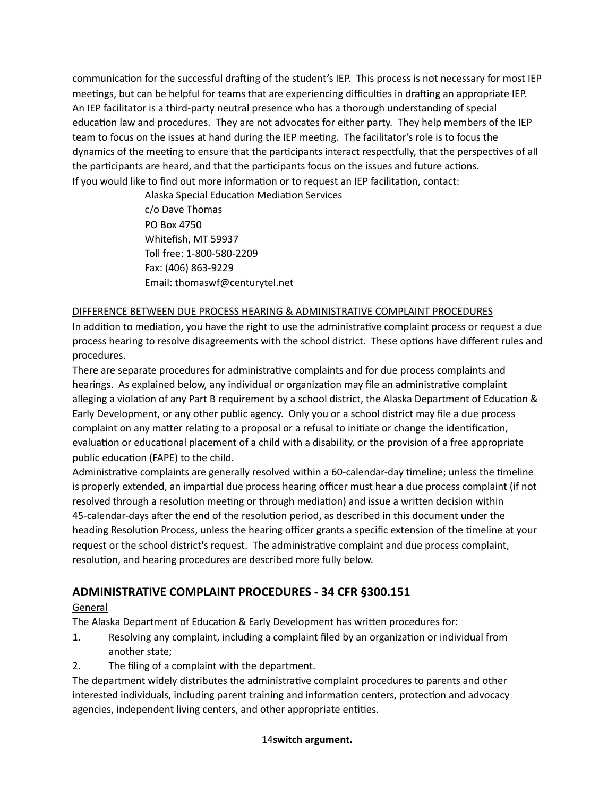communication for the successful drafting of the student's IEP. This process is not necessary for most IEP meetings, but can be helpful for teams that are experiencing difficulties in drafting an appropriate IEP. An IEP facilitator is a third-party neutral presence who has a thorough understanding of special education law and procedures. They are not advocates for either party. They help members of the IEP team to focus on the issues at hand during the IEP meeting. The facilitator's role is to focus the dynamics of the meeting to ensure that the participants interact respectfully, that the perspectives of all the participants are heard, and that the participants focus on the issues and future actions. If you would like to find out more information or to request an IEP facilitation, contact:

> Alaska Special Education Mediation Services c/o Dave Thomas PO Box 4750 Whitefish, MT 59937 Toll free: 1-800-580-2209 Fax: (406) 863-9229 Email: thomaswf@centurytel.net

#### DIFFERENCE BETWEEN DUE PROCESS HEARING & ADMINISTRATIVE COMPLAINT PROCEDURES

In addition to mediation, you have the right to use the administrative complaint process or request a due process hearing to resolve disagreements with the school district. These options have different rules and procedures.

There are separate procedures for administrative complaints and for due process complaints and hearings. As explained below, any individual or organization may file an administrative complaint alleging a violation of any Part B requirement by a school district, the Alaska Department of Education & Early Development, or any other public agency. Only you or a school district may file a due process complaint on any matter relating to a proposal or a refusal to initiate or change the identification, evaluation or educational placement of a child with a disability, or the provision of a free appropriate public education (FAPE) to the child.

Administrative complaints are generally resolved within a 60-calendar-day timeline; unless the timeline is properly extended, an impartial due process hearing officer must hear a due process complaint (if not resolved through a resolution meeting or through mediation) and issue a written decision within 45-calendar-days after the end of the resolution period, as described in this document under the heading Resolution Process, unless the hearing officer grants a specific extension of the timeline at your request or the school district's request. The administrative complaint and due process complaint, resolution, and hearing procedures are described more fully below.

### <span id="page-13-0"></span>**ADMINISTRATIVE COMPLAINT PROCEDURES - 34 CFR §300.151**

#### General

The Alaska Department of Education & Early Development has written procedures for:

- 1. Resolving any complaint, including a complaint filed by an organization or individual from another state;
- 2. The filing of a complaint with the department.

The department widely distributes the administrative complaint procedures to parents and other interested individuals, including parent training and information centers, protection and advocacy agencies, independent living centers, and other appropriate entities.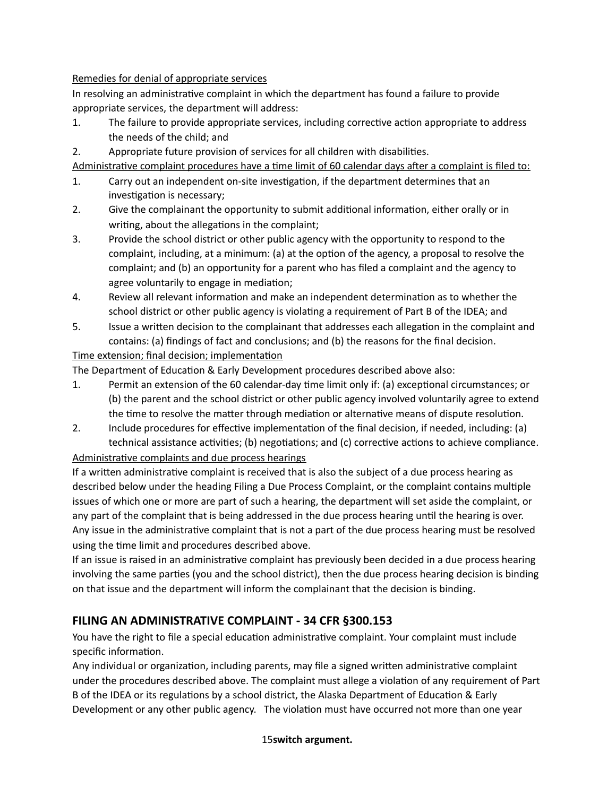#### Remedies for denial of appropriate services

In resolving an administrative complaint in which the department has found a failure to provide appropriate services, the department will address:

- 1. The failure to provide appropriate services, including corrective action appropriate to address the needs of the child; and
- 2. Appropriate future provision of services for all children with disabilities.

Administrative complaint procedures have a time limit of 60 calendar days after a complaint is filed to:

- 1. Carry out an independent on-site investigation, if the department determines that an investigation is necessary;
- 2. Give the complainant the opportunity to submit additional information, either orally or in writing, about the allegations in the complaint;
- 3. Provide the school district or other public agency with the opportunity to respond to the complaint, including, at a minimum: (a) at the option of the agency, a proposal to resolve the complaint; and (b) an opportunity for a parent who has filed a complaint and the agency to agree voluntarily to engage in mediation;
- 4. Review all relevant information and make an independent determination as to whether the school district or other public agency is violating a requirement of Part B of the IDEA; and
- 5. Issue a written decision to the complainant that addresses each allegation in the complaint and contains: (a) findings of fact and conclusions; and (b) the reasons for the final decision.

### Time extension; final decision; implementation

The Department of Education & Early Development procedures described above also:

- 1. Permit an extension of the 60 calendar-day time limit only if: (a) exceptional circumstances; or (b) the parent and the school district or other public agency involved voluntarily agree to extend the time to resolve the matter through mediation or alternative means of dispute resolution.
- 2. Include procedures for effective implementation of the final decision, if needed, including: (a) technical assistance activities; (b) negotiations; and (c) corrective actions to achieve compliance.

### Administrative complaints and due process hearings

If a written administrative complaint is received that is also the subject of a due process hearing as described below under the heading Filing a Due Process Complaint, or the complaint contains multiple issues of which one or more are part of such a hearing, the department will set aside the complaint, or any part of the complaint that is being addressed in the due process hearing until the hearing is over. Any issue in the administrative complaint that is not a part of the due process hearing must be resolved using the time limit and procedures described above.

If an issue is raised in an administrative complaint has previously been decided in a due process hearing involving the same parties (you and the school district), then the due process hearing decision is binding on that issue and the department will inform the complainant that the decision is binding.

# <span id="page-14-0"></span>**FILING AN ADMINISTRATIVE COMPLAINT - 34 CFR §300.153**

You have the right to file a special education administrative complaint. Your complaint must include specific information.

Any individual or organization, including parents, may file a signed written administrative complaint under the procedures described above. The complaint must allege a violation of any requirement of Part B of the IDEA or its regulations by a school district, the Alaska Department of Education & Early Development or any other public agency. The violation must have occurred not more than one year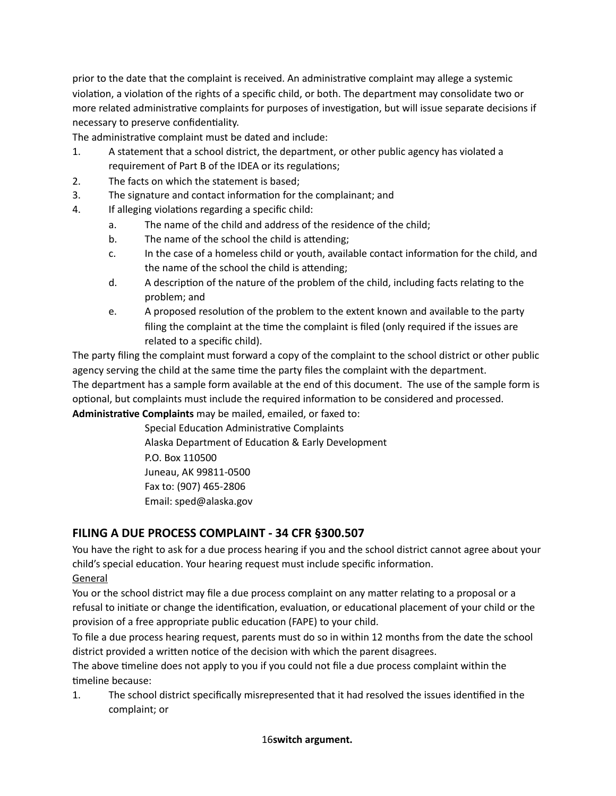prior to the date that the complaint is received. An administrative complaint may allege a systemic violation, a violation of the rights of a specific child, or both. The department may consolidate two or more related administrative complaints for purposes of investigation, but will issue separate decisions if necessary to preserve confidentiality.

The administrative complaint must be dated and include:

- 1. A statement that a school district, the department, or other public agency has violated a requirement of Part B of the IDEA or its regulations;
- 2. The facts on which the statement is based;
- 3. The signature and contact information for the complainant; and
- 4. If alleging violations regarding a specific child:
	- a. The name of the child and address of the residence of the child;
	- b. The name of the school the child is attending;
	- c. In the case of a homeless child or youth, available contact information for the child, and the name of the school the child is attending;
	- d. A description of the nature of the problem of the child, including facts relating to the problem; and
	- e. A proposed resolution of the problem to the extent known and available to the party filing the complaint at the time the complaint is filed (only required if the issues are related to a specific child).

The party filing the complaint must forward a copy of the complaint to the school district or other public agency serving the child at the same time the party files the complaint with the department. The department has a sample form available at the end of this document. The use of the sample form is optional, but complaints must include the required information to be considered and processed.

Administrative Complaints may be mailed, emailed, or faxed to:

Special Education Administrative Complaints Alaska Department of Education & Early Development P.O. Box 110500 Juneau, AK 99811-0500 Fax to: (907) 465-2806 Email: sped@alaska.gov

# <span id="page-15-0"></span>**FILING A DUE PROCESS COMPLAINT - 34 CFR §300.507**

You have the right to ask for a due process hearing if you and the school district cannot agree about your child's special education. Your hearing request must include specific information. General

You or the school district may file a due process complaint on any matter relating to a proposal or a refusal to initiate or change the identification, evaluation, or educational placement of your child or the provision of a free appropriate public education (FAPE) to your child.

To file a due process hearing request, parents must do so in within 12 months from the date the school district provided a written notice of the decision with which the parent disagrees.

The above timeline does not apply to you if you could not file a due process complaint within the timeline because:

1. The school district specifically misrepresented that it had resolved the issues idenfied in the complaint; or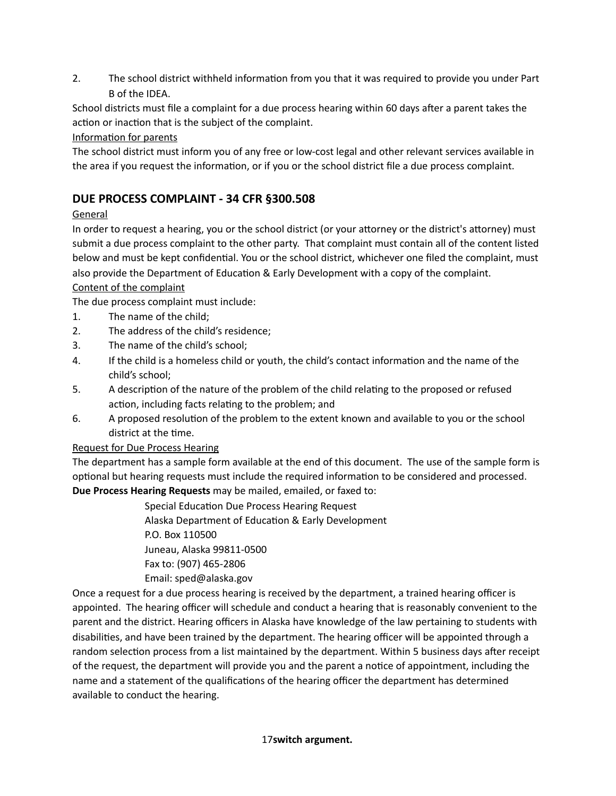2. The school district withheld information from you that it was required to provide you under Part B of the IDEA.

School districts must file a complaint for a due process hearing within 60 days after a parent takes the action or inaction that is the subject of the complaint.

# Information for parents

The school district must inform you of any free or low-cost legal and other relevant services available in the area if you request the information, or if you or the school district file a due process complaint.

# <span id="page-16-0"></span>**DUE PROCESS COMPLAINT - 34 CFR §300.508**

# General

In order to request a hearing, you or the school district (or your attorney or the district's attorney) must submit a due process complaint to the other party. That complaint must contain all of the content listed below and must be kept confidential. You or the school district, whichever one filed the complaint, must also provide the Department of Education & Early Development with a copy of the complaint.

# Content of the complaint

The due process complaint must include:

- 1. The name of the child;
- 2. The address of the child's residence;
- 3. The name of the child's school;
- 4. If the child is a homeless child or youth, the child's contact information and the name of the child's school;
- 5. A description of the nature of the problem of the child relating to the proposed or refused action, including facts relating to the problem; and
- 6. A proposed resolution of the problem to the extent known and available to you or the school district at the time.

# Request for Due Process Hearing

The department has a sample form available at the end of this document. The use of the sample form is optional but hearing requests must include the required information to be considered and processed. **Due Process Hearing Requests** may be mailed, emailed, or faxed to:

> Special Education Due Process Hearing Request Alaska Department of Education & Early Development P.O. Box 110500 Juneau, Alaska 99811-0500 Fax to: (907) 465-2806 Email: sped@alaska.gov

Once a request for a due process hearing is received by the department, a trained hearing officer is appointed. The hearing officer will schedule and conduct a hearing that is reasonably convenient to the parent and the district. Hearing officers in Alaska have knowledge of the law pertaining to students with disabilities, and have been trained by the department. The hearing officer will be appointed through a random selection process from a list maintained by the department. Within 5 business days after receipt of the request, the department will provide you and the parent a notice of appointment, including the name and a statement of the qualifications of the hearing officer the department has determined available to conduct the hearing.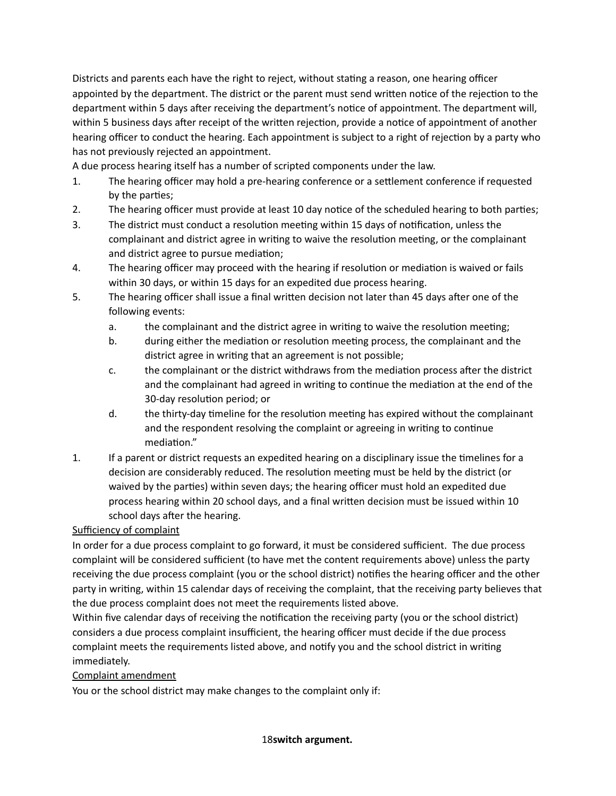Districts and parents each have the right to reject, without stating a reason, one hearing officer appointed by the department. The district or the parent must send written notice of the rejection to the department within 5 days after receiving the department's notice of appointment. The department will, within 5 business days after receipt of the written rejection, provide a notice of appointment of another hearing officer to conduct the hearing. Each appointment is subject to a right of rejection by a party who has not previously rejected an appointment.

A due process hearing itself has a number of scripted components under the law.

- 1. The hearing officer may hold a pre-hearing conference or a settlement conference if requested by the parties;
- 2. The hearing officer must provide at least 10 day notice of the scheduled hearing to both parties;
- 3. The district must conduct a resolution meeting within 15 days of notification, unless the complainant and district agree in writing to waive the resolution meeting, or the complainant and district agree to pursue mediation;
- 4. The hearing officer may proceed with the hearing if resolution or mediation is waived or fails within 30 days, or within 15 days for an expedited due process hearing.
- 5. The hearing officer shall issue a final written decision not later than 45 days after one of the following events:
	- a. the complainant and the district agree in writing to waive the resolution meeting;
	- b. during either the mediation or resolution meeting process, the complainant and the district agree in writing that an agreement is not possible;
	- c. the complainant or the district withdraws from the mediation process after the district and the complainant had agreed in writing to continue the mediation at the end of the 30-day resolution period; or
	- d. the thirty-day timeline for the resolution meeting has expired without the complainant and the respondent resolving the complaint or agreeing in writing to continue mediation."
- 1. If a parent or district requests an expedited hearing on a disciplinary issue the timelines for a decision are considerably reduced. The resolution meeting must be held by the district (or waived by the parties) within seven days; the hearing officer must hold an expedited due process hearing within 20 school days, and a final written decision must be issued within 10 school days after the hearing.

# Sufficiency of complaint

In order for a due process complaint to go forward, it must be considered sufficient. The due process complaint will be considered sufficient (to have met the content requirements above) unless the party receiving the due process complaint (you or the school district) nofies the hearing officer and the other party in writing, within 15 calendar days of receiving the complaint, that the receiving party believes that the due process complaint does not meet the requirements listed above.

Within five calendar days of receiving the notification the receiving party (you or the school district) considers a due process complaint insufficient, the hearing officer must decide if the due process complaint meets the requirements listed above, and notify you and the school district in writing immediately.

### Complaint amendment

You or the school district may make changes to the complaint only if: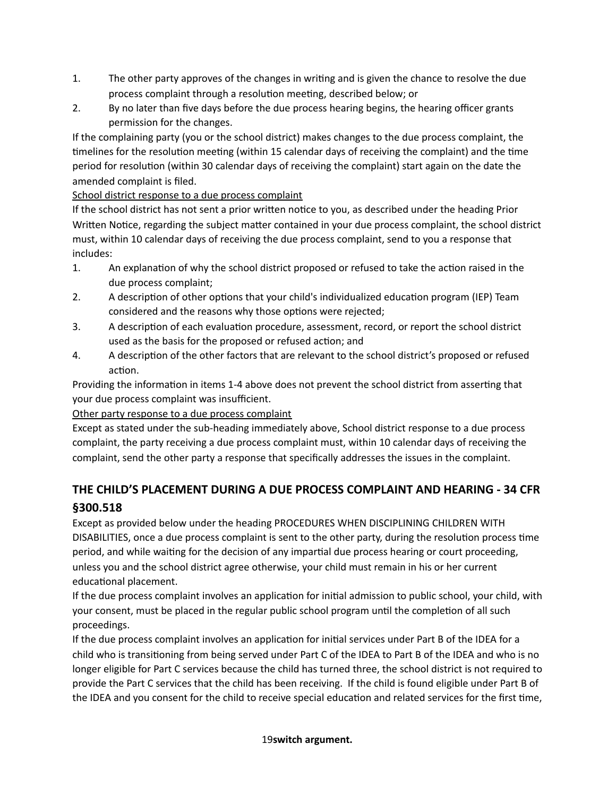- 1. The other party approves of the changes in wring and is given the chance to resolve the due process complaint through a resolution meeting, described below; or
- 2. By no later than five days before the due process hearing begins, the hearing officer grants permission for the changes.

If the complaining party (you or the school district) makes changes to the due process complaint, the timelines for the resolution meeting (within 15 calendar days of receiving the complaint) and the time period for resolution (within 30 calendar days of receiving the complaint) start again on the date the amended complaint is filed.

# School district response to a due process complaint

If the school district has not sent a prior written notice to you, as described under the heading Prior Written Notice, regarding the subject matter contained in your due process complaint, the school district must, within 10 calendar days of receiving the due process complaint, send to you a response that includes:

- 1. An explanation of why the school district proposed or refused to take the action raised in the due process complaint;
- 2. A description of other options that your child's individualized education program (IEP) Team considered and the reasons why those options were rejected;
- 3. A description of each evaluation procedure, assessment, record, or report the school district used as the basis for the proposed or refused action; and
- 4. A description of the other factors that are relevant to the school district's proposed or refused action.

Providing the information in items 1-4 above does not prevent the school district from asserting that your due process complaint was insufficient.

Other party response to a due process complaint

Except as stated under the sub-heading immediately above, School district response to a due process complaint, the party receiving a due process complaint must, within 10 calendar days of receiving the complaint, send the other party a response that specifically addresses the issues in the complaint.

# <span id="page-18-0"></span>**THE CHILD'S PLACEMENT DURING A DUE PROCESS COMPLAINT AND HEARING - 34 CFR §300.518**

Except as provided below under the heading PROCEDURES WHEN DISCIPLINING CHILDREN WITH DISABILITIES, once a due process complaint is sent to the other party, during the resolution process time period, and while waiting for the decision of any impartial due process hearing or court proceeding, unless you and the school district agree otherwise, your child must remain in his or her current educational placement.

If the due process complaint involves an application for initial admission to public school, your child, with your consent, must be placed in the regular public school program until the completion of all such proceedings.

If the due process complaint involves an application for initial services under Part B of the IDEA for a child who is transitioning from being served under Part C of the IDEA to Part B of the IDEA and who is no longer eligible for Part C services because the child has turned three, the school district is not required to provide the Part C services that the child has been receiving. If the child is found eligible under Part B of the IDEA and you consent for the child to receive special education and related services for the first time,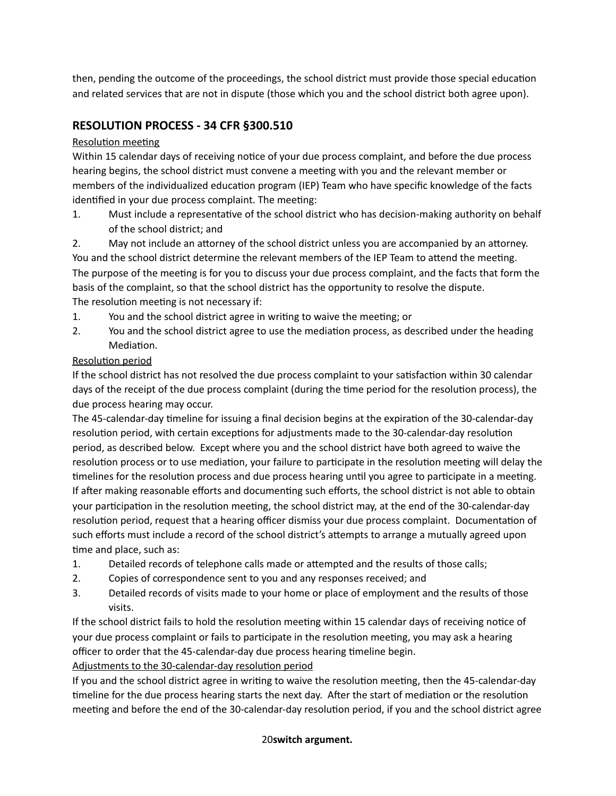then, pending the outcome of the proceedings, the school district must provide those special education and related services that are not in dispute (those which you and the school district both agree upon).

# <span id="page-19-0"></span>**RESOLUTION PROCESS - 34 CFR §300.510**

### Resolution meeting

Within 15 calendar days of receiving notice of your due process complaint, and before the due process hearing begins, the school district must convene a meeting with you and the relevant member or members of the individualized education program (IEP) Team who have specific knowledge of the facts identified in your due process complaint. The meeting:

1. Must include a representative of the school district who has decision-making authority on behalf of the school district; and

2. May not include an attorney of the school district unless you are accompanied by an attorney. You and the school district determine the relevant members of the IEP Team to attend the meeting. The purpose of the meeting is for you to discuss your due process complaint, and the facts that form the basis of the complaint, so that the school district has the opportunity to resolve the dispute. The resolution meeting is not necessary if:

- 1. You and the school district agree in writing to waive the meeting; or
- 2. You and the school district agree to use the mediation process, as described under the heading Mediation.

### Resolution period

If the school district has not resolved the due process complaint to your satisfaction within 30 calendar days of the receipt of the due process complaint (during the time period for the resolution process), the due process hearing may occur.

The 45-calendar-day timeline for issuing a final decision begins at the expiration of the 30-calendar-day resolution period, with certain exceptions for adjustments made to the 30-calendar-day resolution period, as described below. Except where you and the school district have both agreed to waive the resolution process or to use mediation, your failure to participate in the resolution meeting will delay the timelines for the resolution process and due process hearing until you agree to participate in a meeting. If after making reasonable efforts and documenting such efforts, the school district is not able to obtain your participation in the resolution meeting, the school district may, at the end of the 30-calendar-day resolution period, request that a hearing officer dismiss your due process complaint. Documentation of such efforts must include a record of the school district's attempts to arrange a mutually agreed upon time and place, such as:

- 1. Detailed records of telephone calls made or attempted and the results of those calls;
- 2. Copies of correspondence sent to you and any responses received; and
- 3. Detailed records of visits made to your home or place of employment and the results of those visits.

If the school district fails to hold the resolution meeting within 15 calendar days of receiving notice of your due process complaint or fails to participate in the resolution meeting, you may ask a hearing officer to order that the 45-calendar-day due process hearing timeline begin.

Adjustments to the 30-calendar-day resolution period

If you and the school district agree in writing to waive the resolution meeting, then the 45-calendar-day timeline for the due process hearing starts the next day. After the start of mediation or the resolution meeting and before the end of the 30-calendar-day resolution period, if you and the school district agree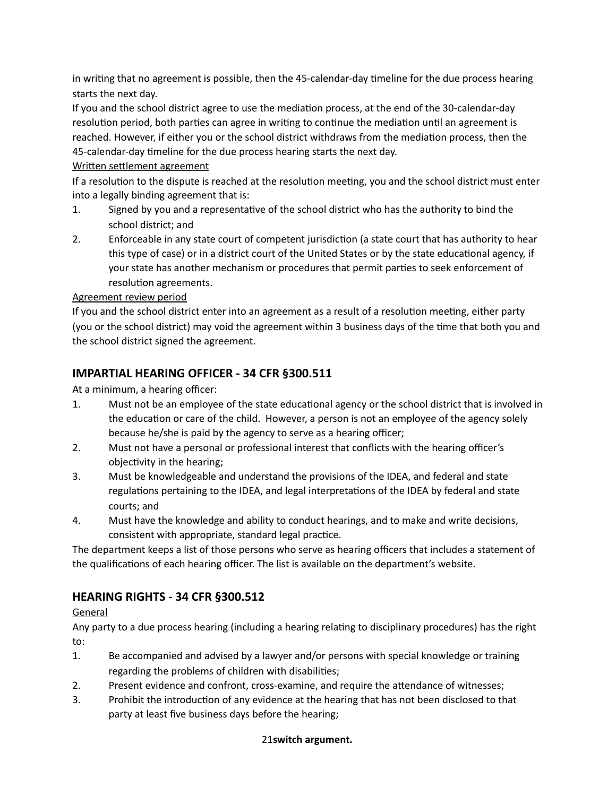in writing that no agreement is possible, then the 45-calendar-day timeline for the due process hearing starts the next day.

If you and the school district agree to use the mediation process, at the end of the 30-calendar-day resolution period, both parties can agree in writing to continue the mediation until an agreement is reached. However, if either you or the school district withdraws from the mediation process, then the 45-calendar-day timeline for the due process hearing starts the next day.

### Written settlement agreement

If a resolution to the dispute is reached at the resolution meeting, you and the school district must enter into a legally binding agreement that is:

- 1. Signed by you and a representative of the school district who has the authority to bind the school district; and
- 2. Enforceable in any state court of competent jurisdiction (a state court that has authority to hear this type of case) or in a district court of the United States or by the state educational agency, if your state has another mechanism or procedures that permit parties to seek enforcement of resolution agreements.

### Agreement review period

If you and the school district enter into an agreement as a result of a resolution meeting, either party (you or the school district) may void the agreement within 3 business days of the time that both you and the school district signed the agreement.

# <span id="page-20-0"></span>**IMPARTIAL HEARING OFFICER - 34 CFR §300.511**

At a minimum, a hearing officer:

- 1. Must not be an employee of the state educational agency or the school district that is involved in the education or care of the child. However, a person is not an employee of the agency solely because he/she is paid by the agency to serve as a hearing officer;
- 2. Must not have a personal or professional interest that conflicts with the hearing officer's objectivity in the hearing;
- 3. Must be knowledgeable and understand the provisions of the IDEA, and federal and state regulations pertaining to the IDEA, and legal interpretations of the IDEA by federal and state courts; and
- 4. Must have the knowledge and ability to conduct hearings, and to make and write decisions, consistent with appropriate, standard legal practice.

The department keeps a list of those persons who serve as hearing officers that includes a statement of the qualifications of each hearing officer. The list is available on the department's website.

# <span id="page-20-1"></span>**HEARING RIGHTS - 34 CFR §300.512**

### General

Any party to a due process hearing (including a hearing relating to disciplinary procedures) has the right to:

- 1. Be accompanied and advised by a lawyer and/or persons with special knowledge or training regarding the problems of children with disabilities;
- 2. Present evidence and confront, cross-examine, and require the attendance of witnesses;
- 3. Prohibit the introduction of any evidence at the hearing that has not been disclosed to that party at least five business days before the hearing;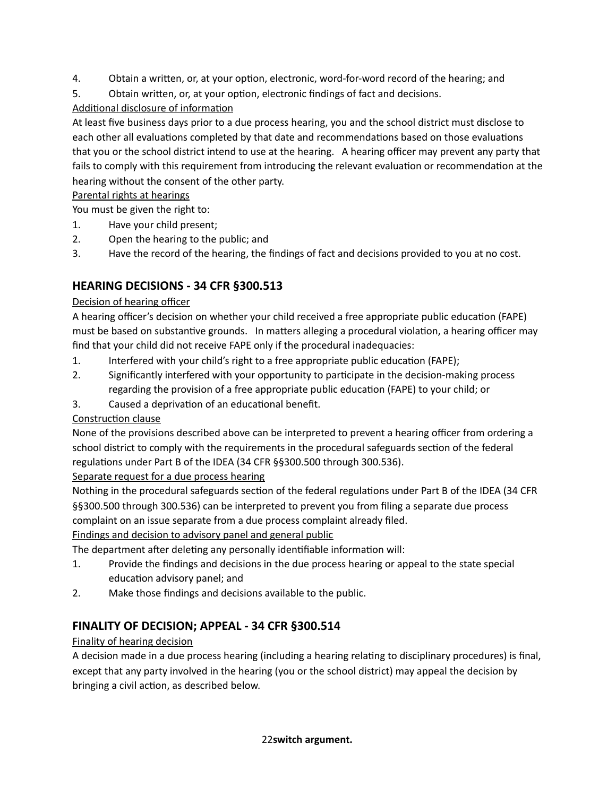- 4. Obtain a written, or, at your option, electronic, word-for-word record of the hearing; and
- 5. Obtain written, or, at your option, electronic findings of fact and decisions.

# Additional disclosure of information

At least five business days prior to a due process hearing, you and the school district must disclose to each other all evaluations completed by that date and recommendations based on those evaluations that you or the school district intend to use at the hearing. A hearing officer may prevent any party that fails to comply with this requirement from introducing the relevant evaluation or recommendation at the hearing without the consent of the other party.

Parental rights at hearings

You must be given the right to:

- 1. Have your child present;
- 2. Open the hearing to the public; and
- 3. Have the record of the hearing, the findings of fact and decisions provided to you at no cost.

# <span id="page-21-0"></span>**HEARING DECISIONS - 34 CFR §300.513**

### Decision of hearing officer

A hearing officer's decision on whether your child received a free appropriate public education (FAPE) must be based on substantive grounds. In matters alleging a procedural violation, a hearing officer may find that your child did not receive FAPE only if the procedural inadequacies:

- 1. Interfered with your child's right to a free appropriate public education (FAPE);
- 2. Significantly interfered with your opportunity to participate in the decision-making process regarding the provision of a free appropriate public education (FAPE) to your child; or
- 3. Caused a deprivation of an educational benefit.

### Construction clause

None of the provisions described above can be interpreted to prevent a hearing officer from ordering a school district to comply with the requirements in the procedural safeguards section of the federal regulations under Part B of the IDEA (34 CFR §§300.500 through 300.536).

### Separate request for a due process hearing

Nothing in the procedural safeguards section of the federal regulations under Part B of the IDEA (34 CFR §§300.500 through 300.536) can be interpreted to prevent you from filing a separate due process complaint on an issue separate from a due process complaint already filed.

Findings and decision to advisory panel and general public

The department after deleting any personally identifiable information will:

- 1. Provide the findings and decisions in the due process hearing or appeal to the state special education advisory panel; and
- 2. Make those findings and decisions available to the public.

# <span id="page-21-1"></span>**FINALITY OF DECISION; APPEAL - 34 CFR §300.514**

### Finality of hearing decision

A decision made in a due process hearing (including a hearing relating to disciplinary procedures) is final, except that any party involved in the hearing (you or the school district) may appeal the decision by bringing a civil action, as described below.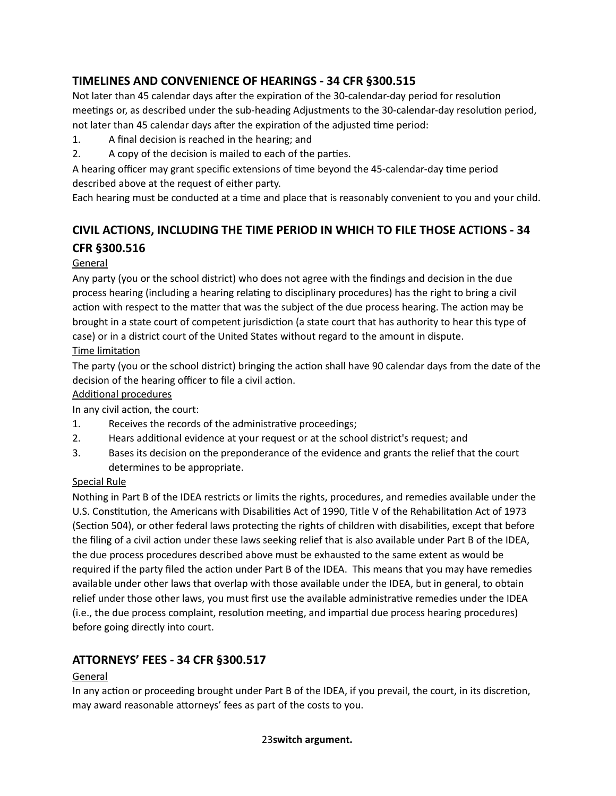# <span id="page-22-0"></span>**TIMELINES AND CONVENIENCE OF HEARINGS - 34 CFR §300.515**

Not later than 45 calendar days after the expiration of the 30-calendar-day period for resolution meetings or, as described under the sub-heading Adjustments to the 30-calendar-day resolution period, not later than 45 calendar days after the expiration of the adjusted time period:

### 1. A final decision is reached in the hearing; and

2. A copy of the decision is mailed to each of the parties.

A hearing officer may grant specific extensions of time beyond the 45-calendar-day time period described above at the request of either party.

Each hearing must be conducted at a time and place that is reasonably convenient to you and your child.

# <span id="page-22-1"></span>**CIVIL ACTIONS, INCLUDING THE TIME PERIOD IN WHICH TO FILE THOSE ACTIONS - 34 CFR §300.516**

### General

Any party (you or the school district) who does not agree with the findings and decision in the due process hearing (including a hearing relating to disciplinary procedures) has the right to bring a civil action with respect to the matter that was the subject of the due process hearing. The action may be brought in a state court of competent jurisdiction (a state court that has authority to hear this type of case) or in a district court of the United States without regard to the amount in dispute. Time limitation

The party (you or the school district) bringing the action shall have 90 calendar days from the date of the decision of the hearing officer to file a civil action.

### Additional procedures

In any civil action, the court:

- 1. Receives the records of the administrative proceedings;
- 2. Hears additional evidence at your request or at the school district's request; and
- 3. Bases its decision on the preponderance of the evidence and grants the relief that the court determines to be appropriate.

### Special Rule

Nothing in Part B of the IDEA restricts or limits the rights, procedures, and remedies available under the U.S. Constitution, the Americans with Disabilities Act of 1990, Title V of the Rehabilitation Act of 1973 (Section 504), or other federal laws protecting the rights of children with disabilities, except that before the filing of a civil action under these laws seeking relief that is also available under Part B of the IDEA, the due process procedures described above must be exhausted to the same extent as would be required if the party filed the action under Part B of the IDEA. This means that you may have remedies available under other laws that overlap with those available under the IDEA, but in general, to obtain relief under those other laws, you must first use the available administrative remedies under the IDEA (i.e., the due process complaint, resolution meeting, and impartial due process hearing procedures) before going directly into court.

# <span id="page-22-2"></span>**ATTORNEYS' FEES - 34 CFR §300.517**

### General

In any action or proceeding brought under Part B of the IDEA, if you prevail, the court, in its discretion, may award reasonable attorneys' fees as part of the costs to you.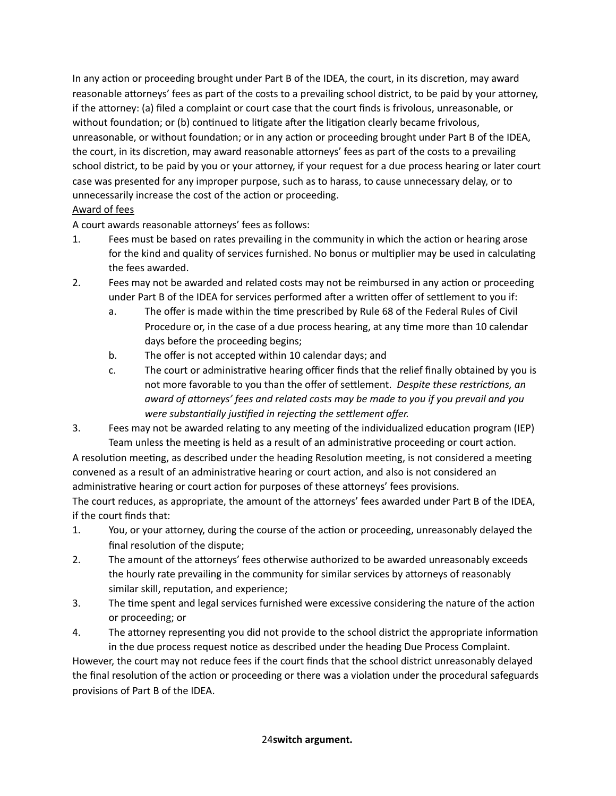In any action or proceeding brought under Part B of the IDEA, the court, in its discretion, may award reasonable attorneys' fees as part of the costs to a prevailing school district, to be paid by your attorney, if the attorney: (a) filed a complaint or court case that the court finds is frivolous, unreasonable, or without foundation; or (b) continued to litigate after the litigation clearly became frivolous, unreasonable, or without foundation; or in any action or proceeding brought under Part B of the IDEA, the court, in its discretion, may award reasonable attorneys' fees as part of the costs to a prevailing school district, to be paid by you or your attorney, if your request for a due process hearing or later court case was presented for any improper purpose, such as to harass, to cause unnecessary delay, or to unnecessarily increase the cost of the action or proceeding.

### Award of fees

A court awards reasonable attorneys' fees as follows:

- 1. Fees must be based on rates prevailing in the community in which the action or hearing arose for the kind and quality of services furnished. No bonus or multiplier may be used in calculating the fees awarded.
- 2. Fees may not be awarded and related costs may not be reimbursed in any action or proceeding under Part B of the IDEA for services performed after a written offer of settlement to you if:
	- a. The offer is made within the time prescribed by Rule 68 of the Federal Rules of Civil Procedure or, in the case of a due process hearing, at any time more than 10 calendar days before the proceeding begins;
	- b. The offer is not accepted within 10 calendar days; and
	- c. The court or administrative hearing officer finds that the relief finally obtained by you is not more favorable to you than the offer of selement. *Despite these restricons, an award of aorneys' fees and related costs may be made to you if you prevail and you were substantially* justified in rejecting the settlement offer.
- 3. Fees may not be awarded relating to any meeting of the individualized education program (IEP) Team unless the meeting is held as a result of an administrative proceeding or court action.

A resolution meeting, as described under the heading Resolution meeting, is not considered a meeting convened as a result of an administrative hearing or court action, and also is not considered an administrative hearing or court action for purposes of these attorneys' fees provisions.

The court reduces, as appropriate, the amount of the attorneys' fees awarded under Part B of the IDEA, if the court finds that:

- 1. You, or your attorney, during the course of the action or proceeding, unreasonably delayed the final resolution of the dispute;
- 2. The amount of the attorneys' fees otherwise authorized to be awarded unreasonably exceeds the hourly rate prevailing in the community for similar services by attorneys of reasonably similar skill, reputation, and experience;
- 3. The time spent and legal services furnished were excessive considering the nature of the action or proceeding; or
- 4. The attorney representing you did not provide to the school district the appropriate information in the due process request notice as described under the heading Due Process Complaint.

However, the court may not reduce fees if the court finds that the school district unreasonably delayed the final resolution of the action or proceeding or there was a violation under the procedural safeguards provisions of Part B of the IDEA.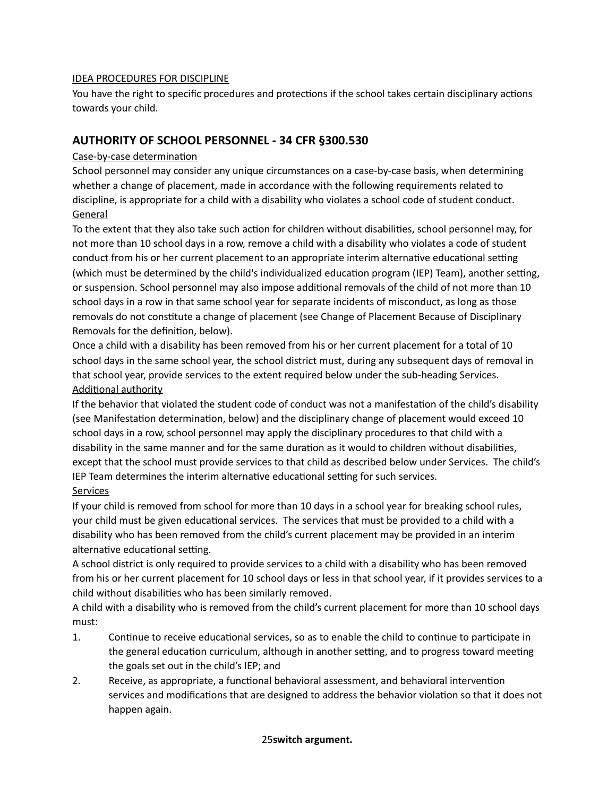#### IDEA PROCEDURES FOR DISCIPLINE

You have the right to specific procedures and protections if the school takes certain disciplinary actions towards your child.

# <span id="page-24-0"></span>**AUTHORITY OF SCHOOL PERSONNEL - 34 CFR §300.530**

### Case-by-case determination

School personnel may consider any unique circumstances on a case-by-case basis, when determining whether a change of placement, made in accordance with the following requirements related to discipline, is appropriate for a child with a disability who violates a school code of student conduct. General

To the extent that they also take such action for children without disabilities, school personnel may, for not more than 10 school days in a row, remove a child with a disability who violates a code of student conduct from his or her current placement to an appropriate interim alternative educational setting (which must be determined by the child's individualized education program (IEP) Team), another setting, or suspension. School personnel may also impose additional removals of the child of not more than 10 school days in a row in that same school year for separate incidents of misconduct, as long as those removals do not constitute a change of placement (see Change of Placement Because of Disciplinary Removals for the definition, below).

Once a child with a disability has been removed from his or her current placement for a total of 10 school days in the same school year, the school district must, during any subsequent days of removal in that school year, provide services to the extent required below under the sub-heading Services. Additional authority

If the behavior that violated the student code of conduct was not a manifestation of the child's disability (see Manifestation determination, below) and the disciplinary change of placement would exceed 10 school days in a row, school personnel may apply the disciplinary procedures to that child with a disability in the same manner and for the same duration as it would to children without disabilities, except that the school must provide services to that child as described below under Services. The child's IEP Team determines the interim alternative educational setting for such services.

### Services

If your child is removed from school for more than 10 days in a school year for breaking school rules, your child must be given educational services. The services that must be provided to a child with a disability who has been removed from the child's current placement may be provided in an interim alternative educational setting.

A school district is only required to provide services to a child with a disability who has been removed from his or her current placement for 10 school days or less in that school year, if it provides services to a child without disabilities who has been similarly removed.

A child with a disability who is removed from the child's current placement for more than 10 school days must:

- 1. Continue to receive educational services, so as to enable the child to continue to participate in the general education curriculum, although in another setting, and to progress toward meeting the goals set out in the child's IEP; and
- 2. Receive, as appropriate, a functional behavioral assessment, and behavioral intervention services and modifications that are designed to address the behavior violation so that it does not happen again.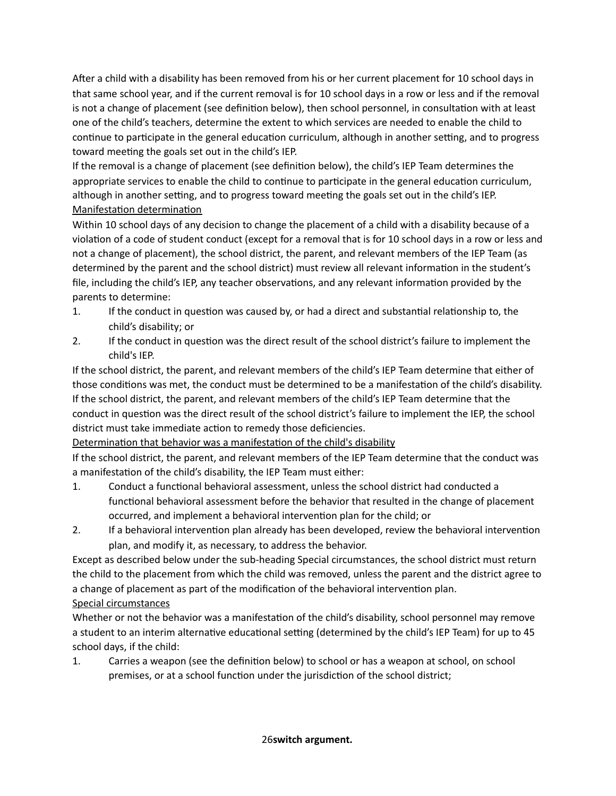After a child with a disability has been removed from his or her current placement for 10 school days in that same school year, and if the current removal is for 10 school days in a row or less and if the removal is not a change of placement (see definition below), then school personnel, in consultation with at least one of the child's teachers, determine the extent to which services are needed to enable the child to continue to participate in the general education curriculum, although in another setting, and to progress toward meeting the goals set out in the child's IEP.

If the removal is a change of placement (see definition below), the child's IEP Team determines the appropriate services to enable the child to continue to participate in the general education curriculum, although in another setting, and to progress toward meeting the goals set out in the child's IEP. Manifestation determination

Within 10 school days of any decision to change the placement of a child with a disability because of a violation of a code of student conduct (except for a removal that is for 10 school days in a row or less and not a change of placement), the school district, the parent, and relevant members of the IEP Team (as determined by the parent and the school district) must review all relevant information in the student's file, including the child's IEP, any teacher observations, and any relevant information provided by the parents to determine:

- 1. If the conduct in question was caused by, or had a direct and substantial relationship to, the child's disability; or
- 2. If the conduct in question was the direct result of the school district's failure to implement the child's IEP.

If the school district, the parent, and relevant members of the child's IEP Team determine that either of those conditions was met, the conduct must be determined to be a manifestation of the child's disability. If the school district, the parent, and relevant members of the child's IEP Team determine that the conduct in question was the direct result of the school district's failure to implement the IEP, the school district must take immediate action to remedy those deficiencies.

Determination that behavior was a manifestation of the child's disability

If the school district, the parent, and relevant members of the IEP Team determine that the conduct was a manifestation of the child's disability, the IEP Team must either:

- 1. Conduct a functional behavioral assessment, unless the school district had conducted a functional behavioral assessment before the behavior that resulted in the change of placement occurred, and implement a behavioral intervention plan for the child; or
- 2. If a behavioral intervention plan already has been developed, review the behavioral intervention plan, and modify it, as necessary, to address the behavior.

Except as described below under the sub-heading Special circumstances, the school district must return the child to the placement from which the child was removed, unless the parent and the district agree to a change of placement as part of the modification of the behavioral intervention plan.

### Special circumstances

Whether or not the behavior was a manifestation of the child's disability, school personnel may remove a student to an interim alternative educational setting (determined by the child's IEP Team) for up to 45 school days, if the child:

1. Carries a weapon (see the definition below) to school or has a weapon at school, on school premises, or at a school function under the jurisdiction of the school district;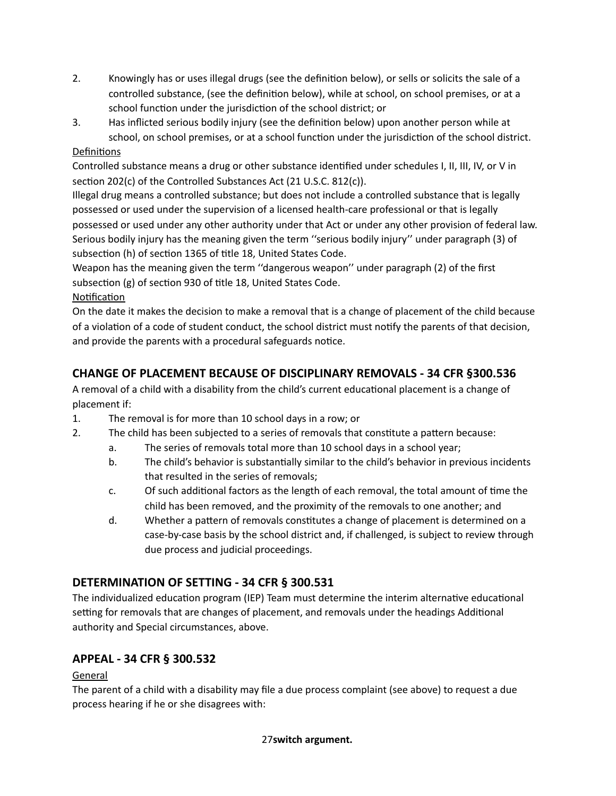- 2. Knowingly has or uses illegal drugs (see the definition below), or sells or solicits the sale of a controlled substance, (see the definition below), while at school, on school premises, or at a school function under the jurisdiction of the school district; or
- 3. Has inflicted serious bodily injury (see the definition below) upon another person while at school, on school premises, or at a school function under the jurisdiction of the school district.

### Definitions

Controlled substance means a drug or other substance idenfied under schedules I, II, III, IV, or V in section 202(c) of the Controlled Substances Act (21 U.S.C. 812(c)).

Illegal drug means a controlled substance; but does not include a controlled substance that is legally possessed or used under the supervision of a licensed health-care professional or that is legally possessed or used under any other authority under that Act or under any other provision of federal law. Serious bodily injury has the meaning given the term ''serious bodily injury'' under paragraph (3) of subsection (h) of section 1365 of title 18, United States Code.

Weapon has the meaning given the term ''dangerous weapon'' under paragraph (2) of the first subsection (g) of section 930 of title 18, United States Code.

### Notification

On the date it makes the decision to make a removal that is a change of placement of the child because of a violation of a code of student conduct, the school district must notify the parents of that decision, and provide the parents with a procedural safeguards notice.

# <span id="page-26-0"></span>**CHANGE OF PLACEMENT BECAUSE OF DISCIPLINARY REMOVALS - 34 CFR §300.536**

A removal of a child with a disability from the child's current educational placement is a change of placement if:

- 1. The removal is for more than 10 school days in a row; or
- 2. The child has been subjected to a series of removals that constitute a pattern because:
	- a. The series of removals total more than 10 school days in a school year;
	- b. The child's behavior is substantially similar to the child's behavior in previous incidents that resulted in the series of removals;
	- c. Of such additional factors as the length of each removal, the total amount of time the child has been removed, and the proximity of the removals to one another; and
	- d. Whether a pattern of removals constitutes a change of placement is determined on a case-by-case basis by the school district and, if challenged, is subject to review through due process and judicial proceedings.

# <span id="page-26-1"></span>**DETERMINATION OF SETTING - 34 CFR § 300.531**

The individualized education program (IEP) Team must determine the interim alternative educational setting for removals that are changes of placement, and removals under the headings Additional authority and Special circumstances, above.

# <span id="page-26-2"></span>**APPEAL - 34 CFR § 300.532**

### General

The parent of a child with a disability may file a due process complaint (see above) to request a due process hearing if he or she disagrees with: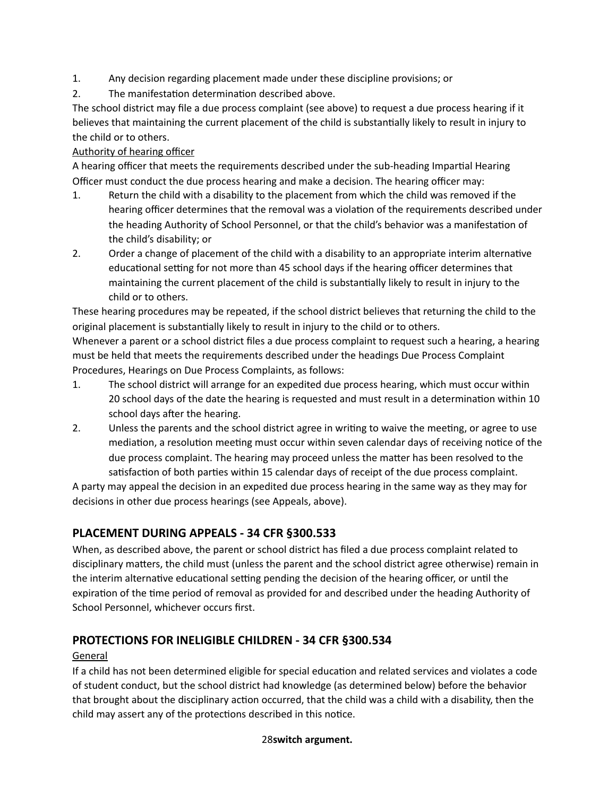- 1. Any decision regarding placement made under these discipline provisions; or
- 2. The manifestation determination described above.

The school district may file a due process complaint (see above) to request a due process hearing if it believes that maintaining the current placement of the child is substantially likely to result in injury to the child or to others.

### Authority of hearing officer

A hearing officer that meets the requirements described under the sub-heading Impartial Hearing Officer must conduct the due process hearing and make a decision. The hearing officer may:

- 1. Return the child with a disability to the placement from which the child was removed if the hearing officer determines that the removal was a violation of the requirements described under the heading Authority of School Personnel, or that the child's behavior was a manifestation of the child's disability; or
- 2. Order a change of placement of the child with a disability to an appropriate interim alternative educational setting for not more than 45 school days if the hearing officer determines that maintaining the current placement of the child is substantially likely to result in injury to the child or to others.

These hearing procedures may be repeated, if the school district believes that returning the child to the original placement is substantially likely to result in injury to the child or to others.

Whenever a parent or a school district files a due process complaint to request such a hearing, a hearing must be held that meets the requirements described under the headings Due Process Complaint Procedures, Hearings on Due Process Complaints, as follows:

- 1. The school district will arrange for an expedited due process hearing, which must occur within 20 school days of the date the hearing is requested and must result in a determination within 10 school days after the hearing.
- 2. Unless the parents and the school district agree in writing to waive the meeting, or agree to use mediation, a resolution meeting must occur within seven calendar days of receiving notice of the due process complaint. The hearing may proceed unless the matter has been resolved to the satisfaction of both parties within 15 calendar days of receipt of the due process complaint.

A party may appeal the decision in an expedited due process hearing in the same way as they may for decisions in other due process hearings (see Appeals, above).

# <span id="page-27-0"></span>**PLACEMENT DURING APPEALS - 34 CFR §300.533**

When, as described above, the parent or school district has filed a due process complaint related to disciplinary matters, the child must (unless the parent and the school district agree otherwise) remain in the interim alternative educational setting pending the decision of the hearing officer, or until the expiration of the time period of removal as provided for and described under the heading Authority of School Personnel, whichever occurs first.

# <span id="page-27-1"></span>**PROTECTIONS FOR INELIGIBLE CHILDREN - 34 CFR §300.534**

### General

If a child has not been determined eligible for special education and related services and violates a code of student conduct, but the school district had knowledge (as determined below) before the behavior that brought about the disciplinary action occurred, that the child was a child with a disability, then the child may assert any of the protections described in this notice.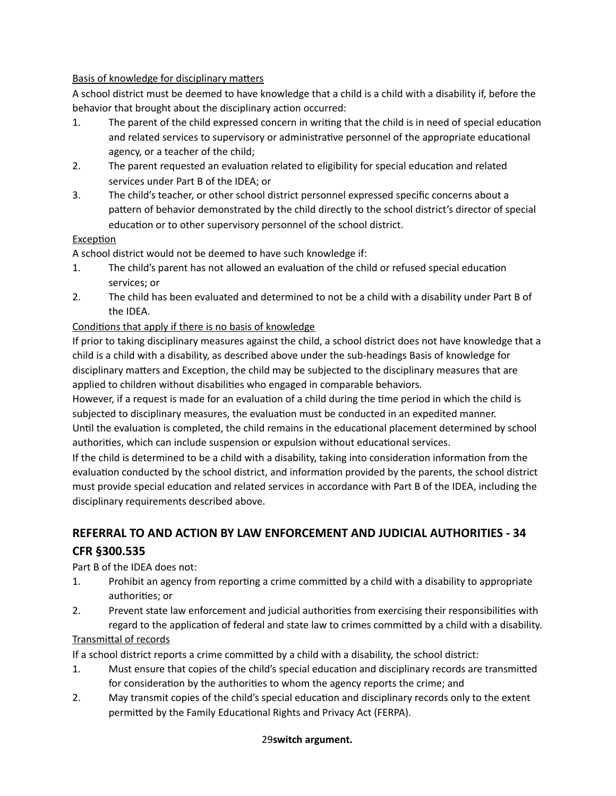### Basis of knowledge for disciplinary matters

A school district must be deemed to have knowledge that a child is a child with a disability if, before the behavior that brought about the disciplinary action occurred:

- 1. The parent of the child expressed concern in writing that the child is in need of special education and related services to supervisory or administrative personnel of the appropriate educational agency, or a teacher of the child;
- 2. The parent requested an evaluation related to eligibility for special education and related services under Part B of the IDEA; or
- 3. The child's teacher, or other school district personnel expressed specific concerns about a pattern of behavior demonstrated by the child directly to the school district's director of special education or to other supervisory personnel of the school district.

### Exception

A school district would not be deemed to have such knowledge if:

- 1. The child's parent has not allowed an evaluation of the child or refused special education services; or
- 2. The child has been evaluated and determined to not be a child with a disability under Part B of the IDEA.

### Conditions that apply if there is no basis of knowledge

If prior to taking disciplinary measures against the child, a school district does not have knowledge that a child is a child with a disability, as described above under the sub-headings Basis of knowledge for disciplinary matters and Exception, the child may be subjected to the disciplinary measures that are applied to children without disabilities who engaged in comparable behaviors.

However, if a request is made for an evaluation of a child during the time period in which the child is subjected to disciplinary measures, the evaluation must be conducted in an expedited manner.

Until the evaluation is completed, the child remains in the educational placement determined by school authorities, which can include suspension or expulsion without educational services.

If the child is determined to be a child with a disability, taking into consideration information from the evaluation conducted by the school district, and information provided by the parents, the school district must provide special education and related services in accordance with Part B of the IDEA, including the disciplinary requirements described above.

# <span id="page-28-0"></span>**REFERRAL TO AND ACTION BY LAW ENFORCEMENT AND JUDICIAL AUTHORITIES - 34 CFR §300.535**

Part B of the IDEA does not:

- 1. Prohibit an agency from reporting a crime committed by a child with a disability to appropriate authorities; or
- 2. Prevent state law enforcement and judicial authorities from exercising their responsibilities with regard to the application of federal and state law to crimes committed by a child with a disability. Transmittal of records

If a school district reports a crime committed by a child with a disability, the school district:

- 1. Must ensure that copies of the child's special education and disciplinary records are transmitted for consideration by the authorities to whom the agency reports the crime; and
- 2. May transmit copies of the child's special education and disciplinary records only to the extent permitted by the Family Educational Rights and Privacy Act (FERPA).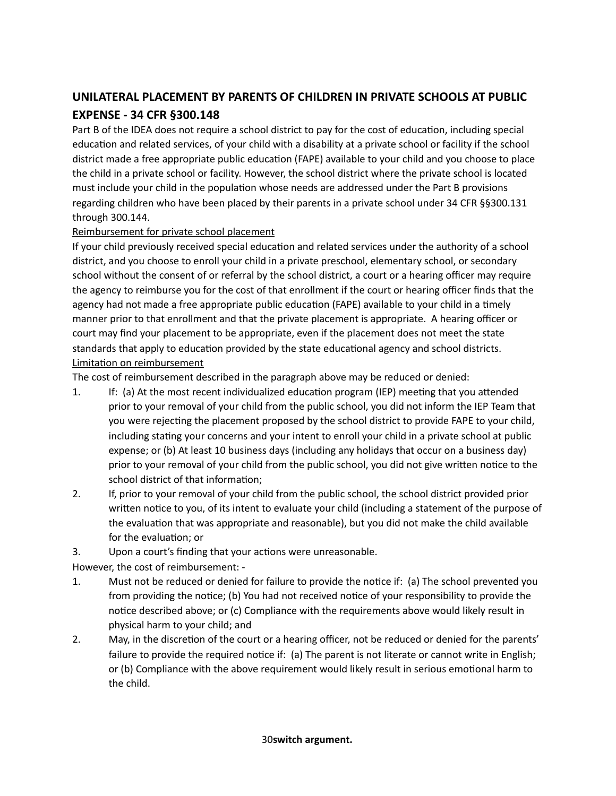# <span id="page-29-0"></span>**UNILATERAL PLACEMENT BY PARENTS OF CHILDREN IN PRIVATE SCHOOLS AT PUBLIC EXPENSE - 34 CFR §300.148**

Part B of the IDEA does not require a school district to pay for the cost of education, including special education and related services, of your child with a disability at a private school or facility if the school district made a free appropriate public education (FAPE) available to your child and you choose to place the child in a private school or facility. However, the school district where the private school is located must include your child in the population whose needs are addressed under the Part B provisions regarding children who have been placed by their parents in a private school under 34 CFR §§300.131 through 300.144.

### Reimbursement for private school placement

If your child previously received special education and related services under the authority of a school district, and you choose to enroll your child in a private preschool, elementary school, or secondary school without the consent of or referral by the school district, a court or a hearing officer may require the agency to reimburse you for the cost of that enrollment if the court or hearing officer finds that the agency had not made a free appropriate public education (FAPE) available to your child in a timely manner prior to that enrollment and that the private placement is appropriate. A hearing officer or court may find your placement to be appropriate, even if the placement does not meet the state standards that apply to education provided by the state educational agency and school districts. Limitation on reimbursement

The cost of reimbursement described in the paragraph above may be reduced or denied:

- 1. If: (a) At the most recent individualized education program (IEP) meeting that you attended prior to your removal of your child from the public school, you did not inform the IEP Team that you were rejecting the placement proposed by the school district to provide FAPE to your child, including stating your concerns and your intent to enroll your child in a private school at public expense; or (b) At least 10 business days (including any holidays that occur on a business day) prior to your removal of your child from the public school, you did not give written notice to the school district of that information;
- 2. If, prior to your removal of your child from the public school, the school district provided prior written notice to you, of its intent to evaluate your child (including a statement of the purpose of the evaluation that was appropriate and reasonable), but you did not make the child available for the evaluation; or
- 3. Upon a court's finding that your actions were unreasonable.

However, the cost of reimbursement: -

- 1. Must not be reduced or denied for failure to provide the notice if: (a) The school prevented you from providing the notice; (b) You had not received notice of your responsibility to provide the notice described above; or (c) Compliance with the requirements above would likely result in physical harm to your child; and
- 2. May, in the discretion of the court or a hearing officer, not be reduced or denied for the parents' failure to provide the required notice if: (a) The parent is not literate or cannot write in English; or (b) Compliance with the above requirement would likely result in serious emotional harm to the child.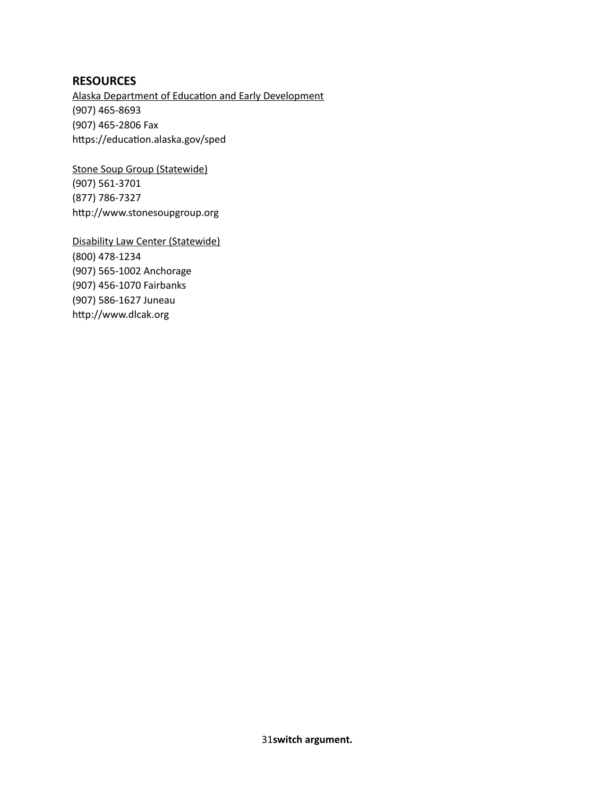### <span id="page-30-0"></span>**RESOURCES**

Alaska Department of Education and Early Development (907) 465-8693 (907) 465-2806 Fax https://education.alaska.gov/sped

Stone Soup Group (Statewide) (907) 561-3701 (877) 786-7327 http://www.stonesoupgroup.org

Disability Law Center (Statewide) (800) 478-1234 (907) 565-1002 Anchorage (907) 456-1070 Fairbanks (907) 586-1627 Juneau http://www.dlcak.org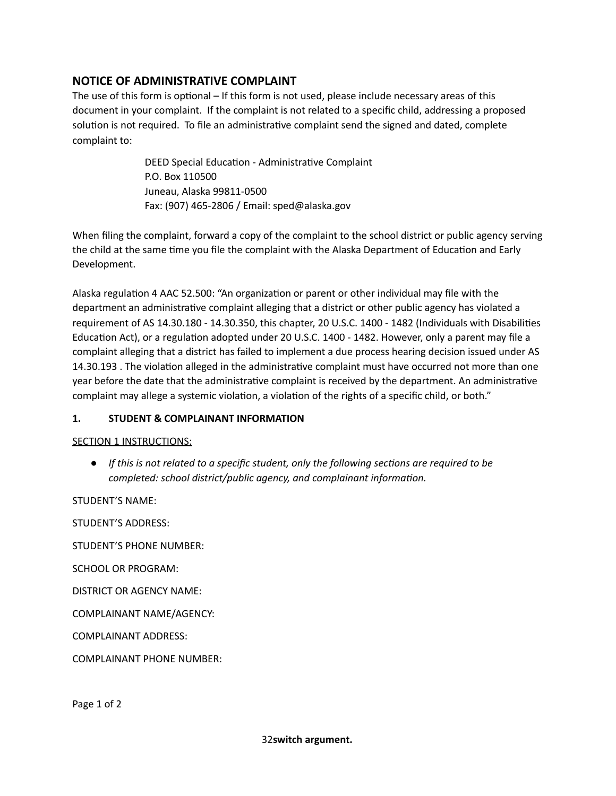### <span id="page-31-0"></span>**NOTICE OF ADMINISTRATIVE COMPLAINT**

The use of this form is optional – If this form is not used, please include necessary areas of this document in your complaint. If the complaint is not related to a specific child, addressing a proposed solution is not required. To file an administrative complaint send the signed and dated, complete complaint to:

> DEED Special Education - Administrative Complaint P.O. Box 110500 Juneau, Alaska 99811-0500 Fax: (907) 465-2806 / Email: sped@alaska.gov

When filing the complaint, forward a copy of the complaint to the school district or public agency serving the child at the same time you file the complaint with the Alaska Department of Education and Early Development.

Alaska regulation 4 AAC 52.500: "An organization or parent or other individual may file with the department an administrative complaint alleging that a district or other public agency has violated a requirement of AS 14.30.180 - 14.30.350, this chapter, 20 U.S.C. 1400 - 1482 (Individuals with Disabilies Education Act), or a regulation adopted under 20 U.S.C. 1400 - 1482. However, only a parent may file a complaint alleging that a district has failed to implement a due process hearing decision issued under AS 14.30.193. The violation alleged in the administrative complaint must have occurred not more than one year before the date that the administrative complaint is received by the department. An administrative complaint may allege a systemic violation, a violation of the rights of a specific child, or both."

### **1. STUDENT & COMPLAINANT INFORMATION**

#### SECTION 1 INSTRUCTIONS:

*● If this is not related to a specific student, only the following secons are required to be completed: school district/public agency, and complainant information.* 

STUDENT'S NAME:

STUDENT'S ADDRESS:

STUDENT'S PHONE NUMBER:

SCHOOL OR PROGRAM:

DISTRICT OR AGENCY NAME:

COMPLAINANT NAME/AGENCY:

COMPLAINANT ADDRESS:

COMPLAINANT PHONE NUMBER:

Page 1 of 2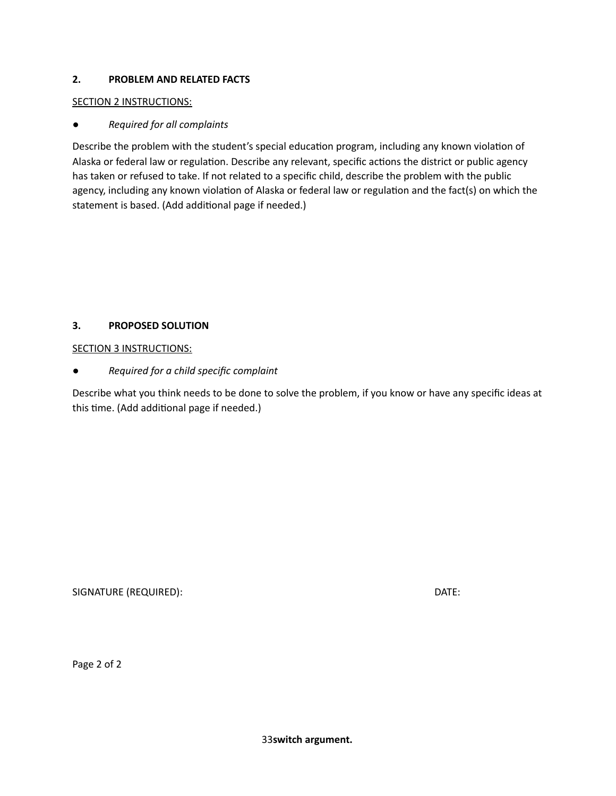#### **2. PROBLEM AND RELATED FACTS**

#### **SECTION 2 INSTRUCTIONS:**

#### *● Required for all complaints*

Describe the problem with the student's special education program, including any known violation of Alaska or federal law or regulation. Describe any relevant, specific actions the district or public agency has taken or refused to take. If not related to a specific child, describe the problem with the public agency, including any known violation of Alaska or federal law or regulation and the fact(s) on which the statement is based. (Add additional page if needed.)

### **3. PROPOSED SOLUTION**

#### SECTION 3 INSTRUCTIONS:

*● Required for a child specific complaint*

Describe what you think needs to be done to solve the problem, if you know or have any specific ideas at this time. (Add additional page if needed.)

SIGNATURE (REQUIRED): DATE:

Page 2 of 2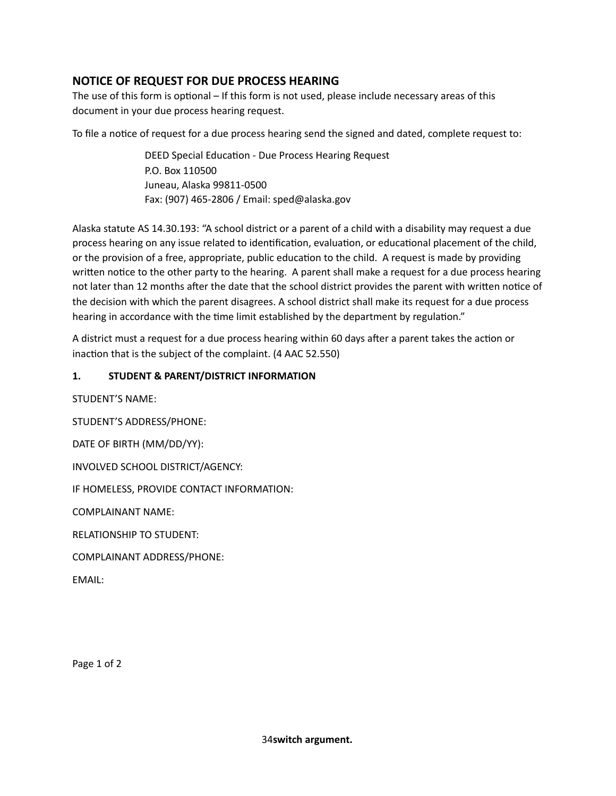# <span id="page-33-0"></span>**NOTICE OF REQUEST FOR DUE PROCESS HEARING**

The use of this form is optional – If this form is not used, please include necessary areas of this document in your due process hearing request.

To file a notice of request for a due process hearing send the signed and dated, complete request to:

DEED Special Education - Due Process Hearing Request P.O. Box 110500 Juneau, Alaska 99811-0500 Fax: (907) 465-2806 / Email: sped@alaska.gov

Alaska statute AS 14.30.193: "A school district or a parent of a child with a disability may request a due process hearing on any issue related to identification, evaluation, or educational placement of the child, or the provision of a free, appropriate, public education to the child. A request is made by providing written notice to the other party to the hearing. A parent shall make a request for a due process hearing not later than 12 months after the date that the school district provides the parent with written notice of the decision with which the parent disagrees. A school district shall make its request for a due process hearing in accordance with the time limit established by the department by regulation."

A district must a request for a due process hearing within 60 days after a parent takes the action or inaction that is the subject of the complaint. (4 AAC 52.550)

#### **1. STUDENT & PARENT/DISTRICT INFORMATION**

STUDENT'S NAME:

STUDENT'S ADDRESS/PHONE:

DATE OF BIRTH (MM/DD/YY):

INVOLVED SCHOOL DISTRICT/AGENCY:

IF HOMELESS, PROVIDE CONTACT INFORMATION:

COMPLAINANT NAME:

RELATIONSHIP TO STUDENT:

COMPLAINANT ADDRESS/PHONE:

EMAIL:

Page 1 of 2